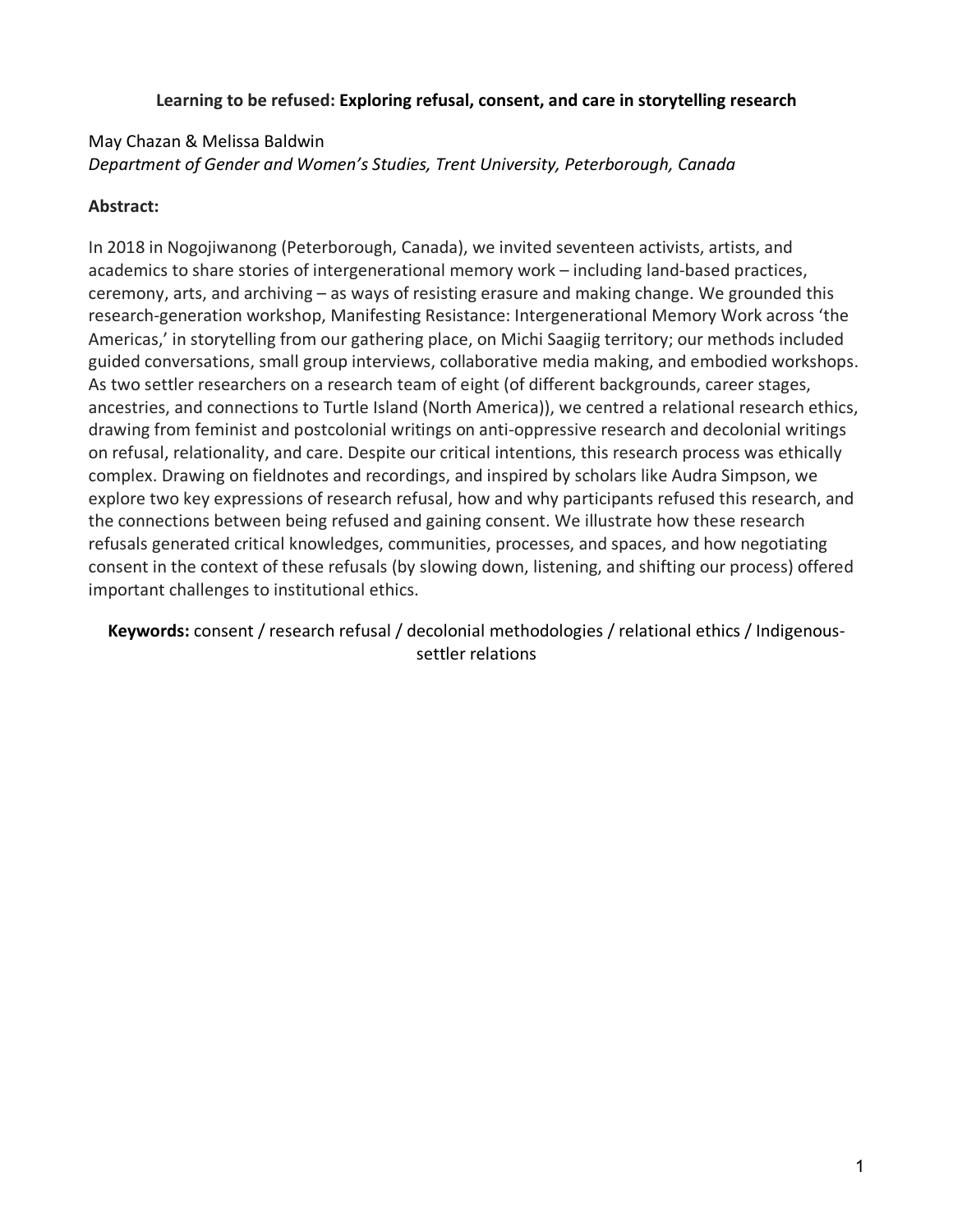## **Learning to be refused: Exploring refusal, consent, and care in storytelling research**

# May Chazan & Melissa Baldwin *Department of Gender and Women's Studies, Trent University, Peterborough, Canada*

# **Abstract:**

In 2018 in Nogojiwanong (Peterborough, Canada), we invited seventeen activists, artists, and academics to share stories of intergenerational memory work – including land-based practices, ceremony, arts, and archiving – as ways of resisting erasure and making change. We grounded this research-generation workshop, Manifesting Resistance: Intergenerational Memory Work across 'the Americas,' in storytelling from our gathering place, on Michi Saagiig territory; our methods included guided conversations, small group interviews, collaborative media making, and embodied workshops. As two settler researchers on a research team of eight (of different backgrounds, career stages, ancestries, and connections to Turtle Island (North America)), we centred a relational research ethics, drawing from feminist and postcolonial writings on anti-oppressive research and decolonial writings on refusal, relationality, and care. Despite our critical intentions, this research process was ethically complex. Drawing on fieldnotes and recordings, and inspired by scholars like Audra Simpson, we explore two key expressions of research refusal, how and why participants refused this research, and the connections between being refused and gaining consent. We illustrate how these research refusals generated critical knowledges, communities, processes, and spaces, and how negotiating consent in the context of these refusals (by slowing down, listening, and shifting our process) offered important challenges to institutional ethics.

**Keywords:** consent / research refusal / decolonial methodologies / relational ethics / Indigenoussettler relations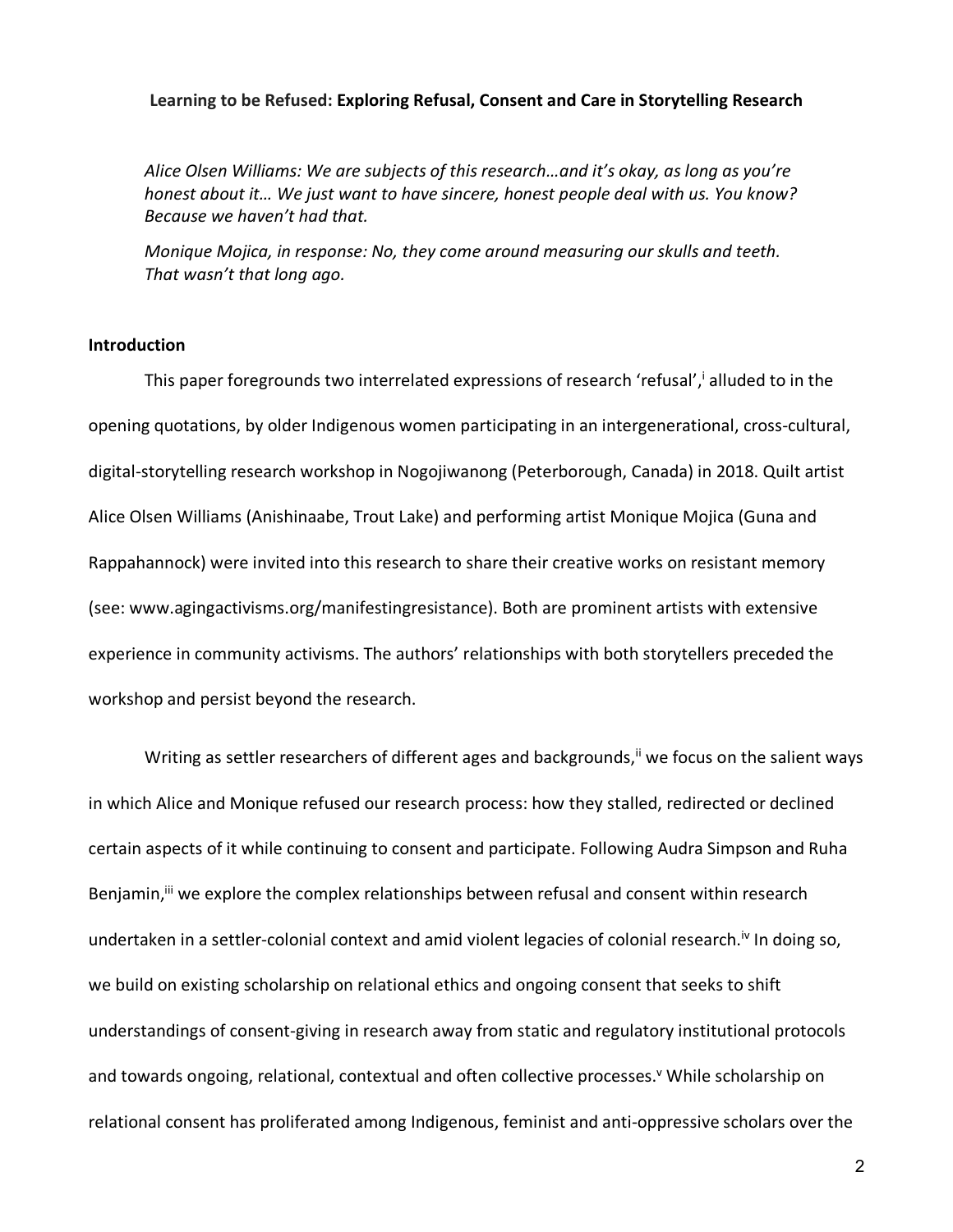#### **Learning to be Refused: Exploring Refusal, Consent and Care in Storytelling Research**

*Alice Olsen Williams: We are subjects of this research…and it's okay, as long as you're honest about it… We just want to have sincere, honest people deal with us. You know? Because we haven't had that.*

*Monique Mojica, in response: No, they come around measuring our skulls and teeth. That wasn't that long ago.*

#### **Introduction**

This paper foregrounds two interrelated expressions of research 'refusal', alluded to in the opening quotations, by older Indigenous women participating in an intergenerational, cross-cultural, digital-storytelling research workshop in Nogojiwanong (Peterborough, Canada) in 2018. Quilt artist Alice Olsen Williams (Anishinaabe, Trout Lake) and performing artist Monique Mojica (Guna and Rappahannock) were invited into this research to share their creative works on resistant memory (see: www.agingactivisms.org/manifestingresistance). Both are prominent artists with extensive experience in community activisms. The authors' relationships with both storytellers preceded the workshop and persist beyond the research.

Writing as settler researchers of different ages and backgrounds,<sup>ii</sup> we focus on the salient ways in which Alice and Monique refused our research process: how they stalled, redirected or declined certain aspects of it while continuing to consent and participate. Following Audra Simpson and Ruha Benjamin,<sup>iii</sup> we explore the complex relationships between refusal and consent within research undertaken in a settler-colonial context and amid violent legacies of colonial research.<sup>iv</sup> In doing so, we build on existing scholarship on relational ethics and ongoing consent that seeks to shift understandings of consent-giving in research away from static and regulatory institutional protocols and towards ongoing, relational, contextual and often collective processes.<sup>v</sup> While scholarship on relational consent has proliferated among Indigenous, feminist and anti-oppressive scholars over the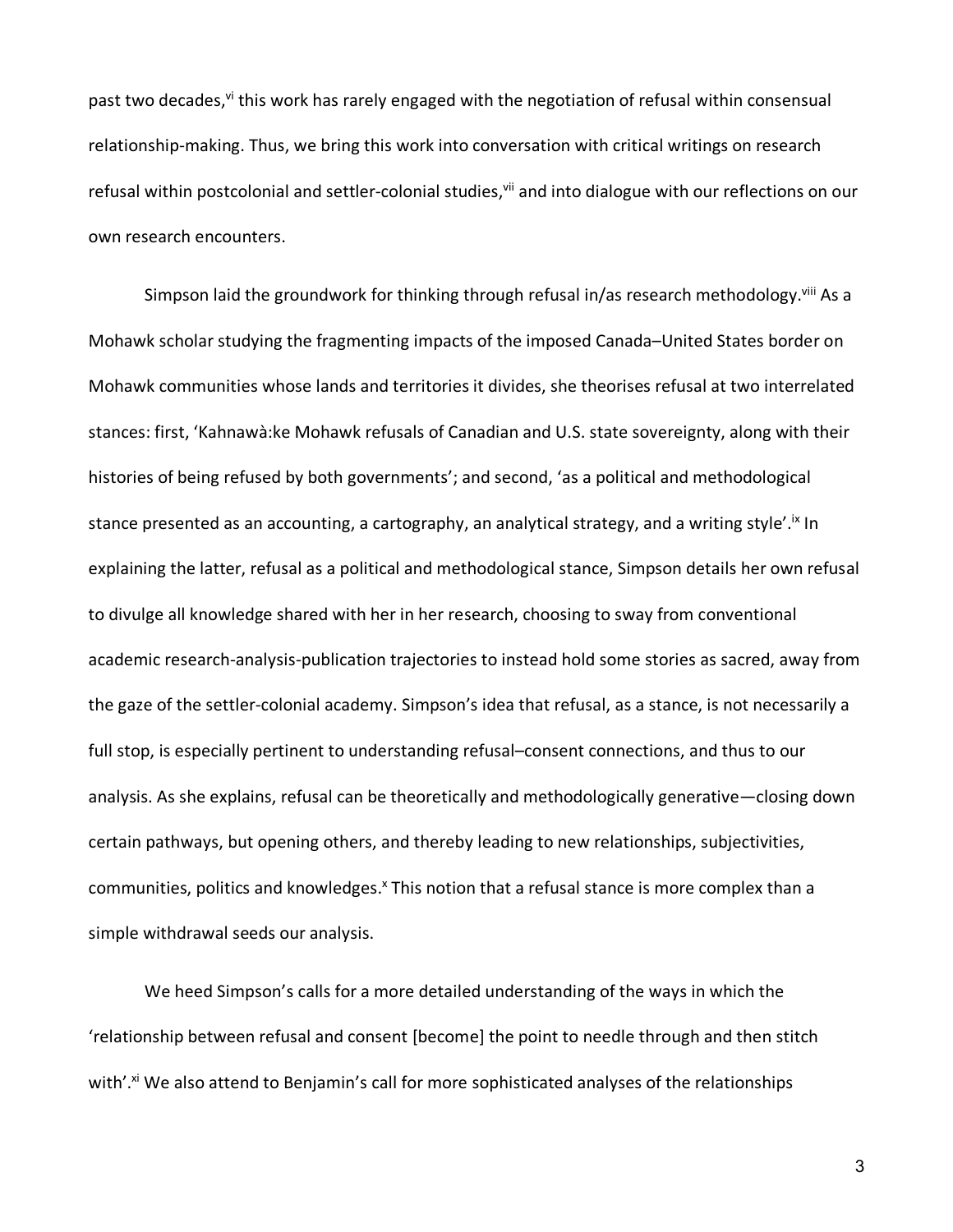past two decades,<sup>vi</sup> this work has rarely engaged with the negotiation of refusal within consensual relationship-making. Thus, we bring this work into conversation with critical writings on research refusal within postcolonial and settler-colonial studies,<sup>vii</sup> and into dialogue with our reflections on our own research encounters.

Simpson laid the groundwork for thinking through refusal in/as research methodology.<sup>viii</sup> As a Mohawk scholar studying the fragmenting impacts of the imposed Canada–United States border on Mohawk communities whose lands and territories it divides, she theorises refusal at two interrelated stances: first, 'Kahnawà:ke Mohawk refusals of Canadian and U.S. state sovereignty, along with their histories of being refused by both governments'; and second, 'as a political and methodological stance presented as an accounting, a cartography, an analytical strategy, and a writing style'.<sup>ix</sup> In explaining the latter, refusal as a political and methodological stance, Simpson details her own refusal to divulge all knowledge shared with her in her research, choosing to sway from conventional academic research-analysis-publication trajectories to instead hold some stories as sacred, away from the gaze of the settler-colonial academy. Simpson's idea that refusal, as a stance, is not necessarily a full stop, is especially pertinent to understanding refusal–consent connections, and thus to our analysis. As she explains, refusal can be theoretically and methodologically generative—closing down certain pathways, but opening others, and thereby leading to new relationships, subjectivities, communities, politics and knowledges.<sup>x</sup> This notion that a refusal stance is more complex than a simple withdrawal seeds our analysis.

We heed Simpson's calls for a more detailed understanding of the ways in which the 'relationship between refusal and consent [become] the point to needle through and then stitch with'.<sup>xi</sup> We also attend to Benjamin's call for more sophisticated analyses of the relationships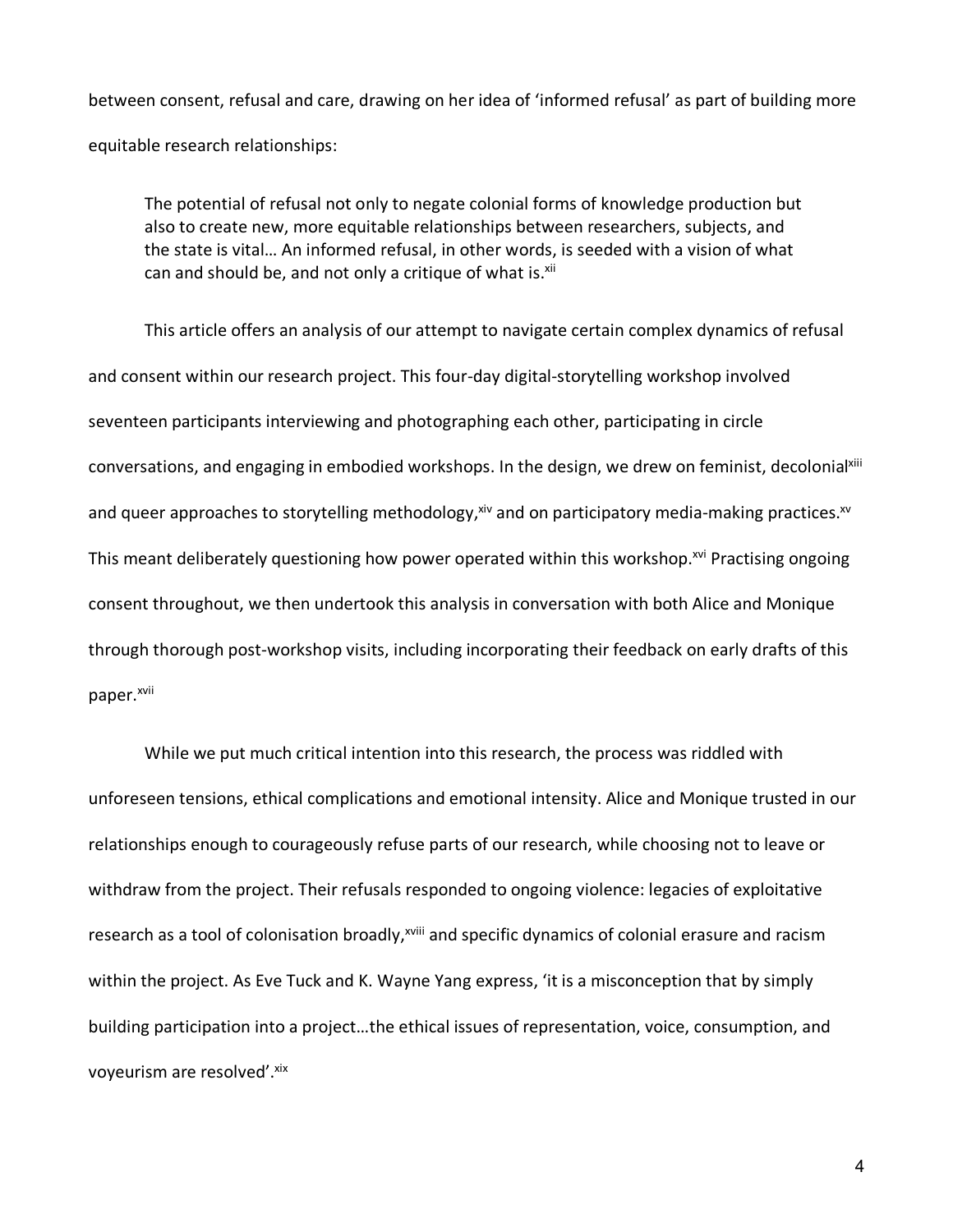between consent, refusal and care, drawing on her idea of 'informed refusal' as part of building more equitable research relationships:

The potential of refusal not only to negate colonial forms of knowledge production but also to create new, more equitable relationships between researchers, subjects, and the state is vital… An informed refusal, in other words, is seeded with a vision of what can and should be, and not only a critique of what is.<sup>xii</sup>

This article offers an analysis of our attempt to navigate certain complex dynamics of refusal and consent within our research project. This four-day digital-storytelling workshop involved seventeen participants interviewing and photographing each other, participating in circle conversations, and engaging in embodied workshops. In the design, we drew on feminist, decolonialxiii and queer approaches to storytelling methodology,  $xiv$  and on participatory media-making practices. $xv$ This meant deliberately questioning how power operated within this workshop.<sup>xvi</sup> Practising ongoing consent throughout, we then undertook this analysis in conversation with both Alice and Monique through thorough post-workshop visits, including incorporating their feedback on early drafts of this paper.<sup>xvii</sup>

While we put much critical intention into this research, the process was riddled with unforeseen tensions, ethical complications and emotional intensity. Alice and Monique trusted in our relationships enough to courageously refuse parts of our research, while choosing not to leave or withdraw from the project. Their refusals responded to ongoing violence: legacies of exploitative research as a tool of colonisation broadly,<sup>xviii</sup> and specific dynamics of colonial erasure and racism within the project. As Eve Tuck and K. Wayne Yang express, 'it is a misconception that by simply building participation into a project…the ethical issues of representation, voice, consumption, and voyeurism are resolved'. xix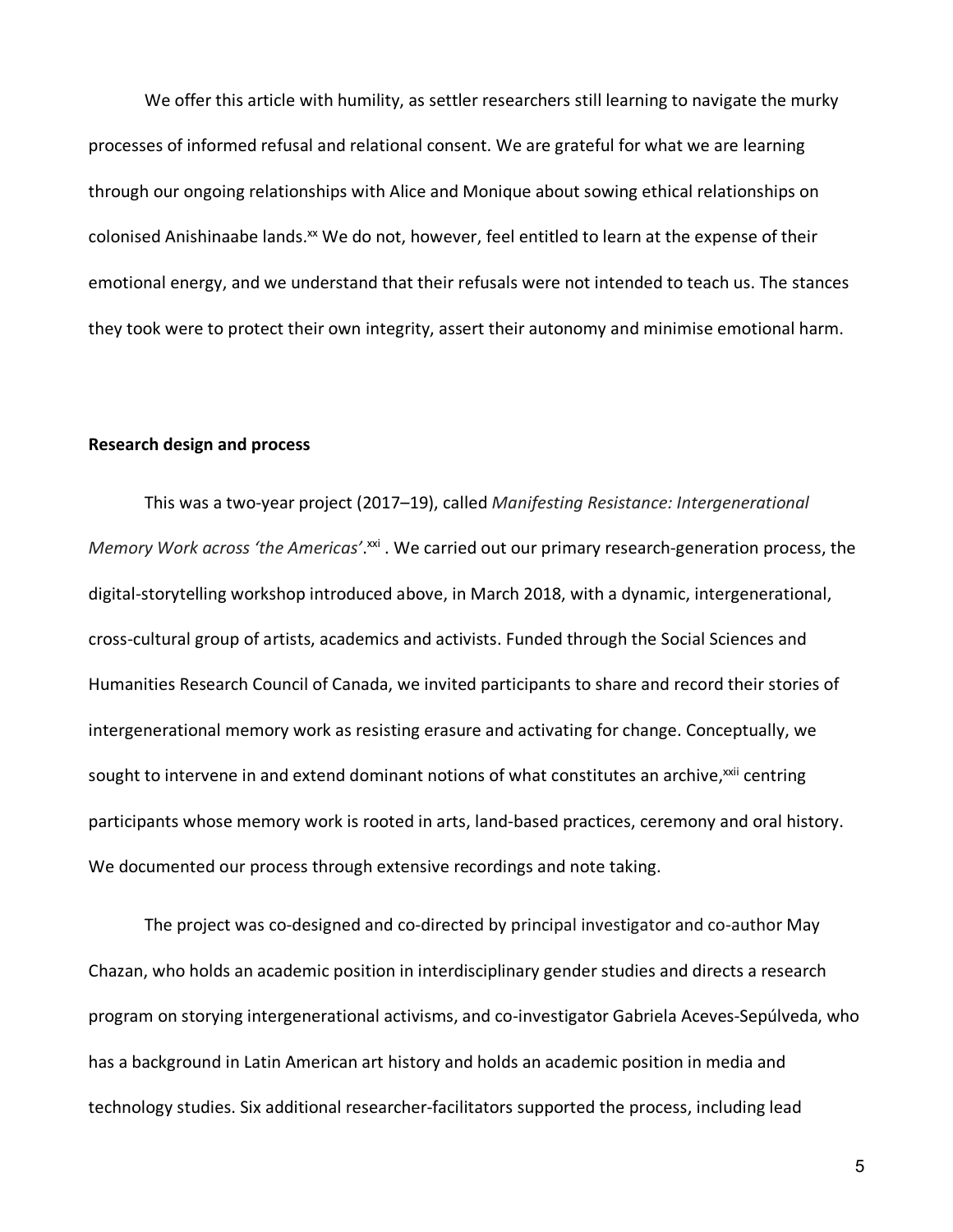We offer this article with humility, as settler researchers still learning to navigate the murky processes of informed refusal and relational consent. We are grateful for what we are learning through our ongoing relationships with Alice and Monique about sowing ethical relationships on colonised Anishinaabe lands.<sup>xx</sup> We do not, however, feel entitled to learn at the expense of their emotional energy, and we understand that their refusals were not intended to teach us. The stances they took were to protect their own integrity, assert their autonomy and minimise emotional harm.

### **Research design and process**

This was a two-year project (2017–19), called *Manifesting Resistance: Intergenerational Memory Work across 'the Americas'*. xxi . We carried out our primary research-generation process, the digital-storytelling workshop introduced above, in March 2018, with a dynamic, intergenerational, cross-cultural group of artists, academics and activists. Funded through the Social Sciences and Humanities Research Council of Canada, we invited participants to share and record their stories of intergenerational memory work as resisting erasure and activating for change. Conceptually, we sought to intervene in and extend dominant notions of what constitutes an archive,<sup>xxii</sup> centring participants whose memory work is rooted in arts, land-based practices, ceremony and oral history. We documented our process through extensive recordings and note taking.

The project was co-designed and co-directed by principal investigator and co-author May Chazan, who holds an academic position in interdisciplinary gender studies and directs a research program on storying intergenerational activisms, and co-investigator Gabriela Aceves-Sepúlveda, who has a background in Latin American art history and holds an academic position in media and technology studies. Six additional researcher-facilitators supported the process, including lead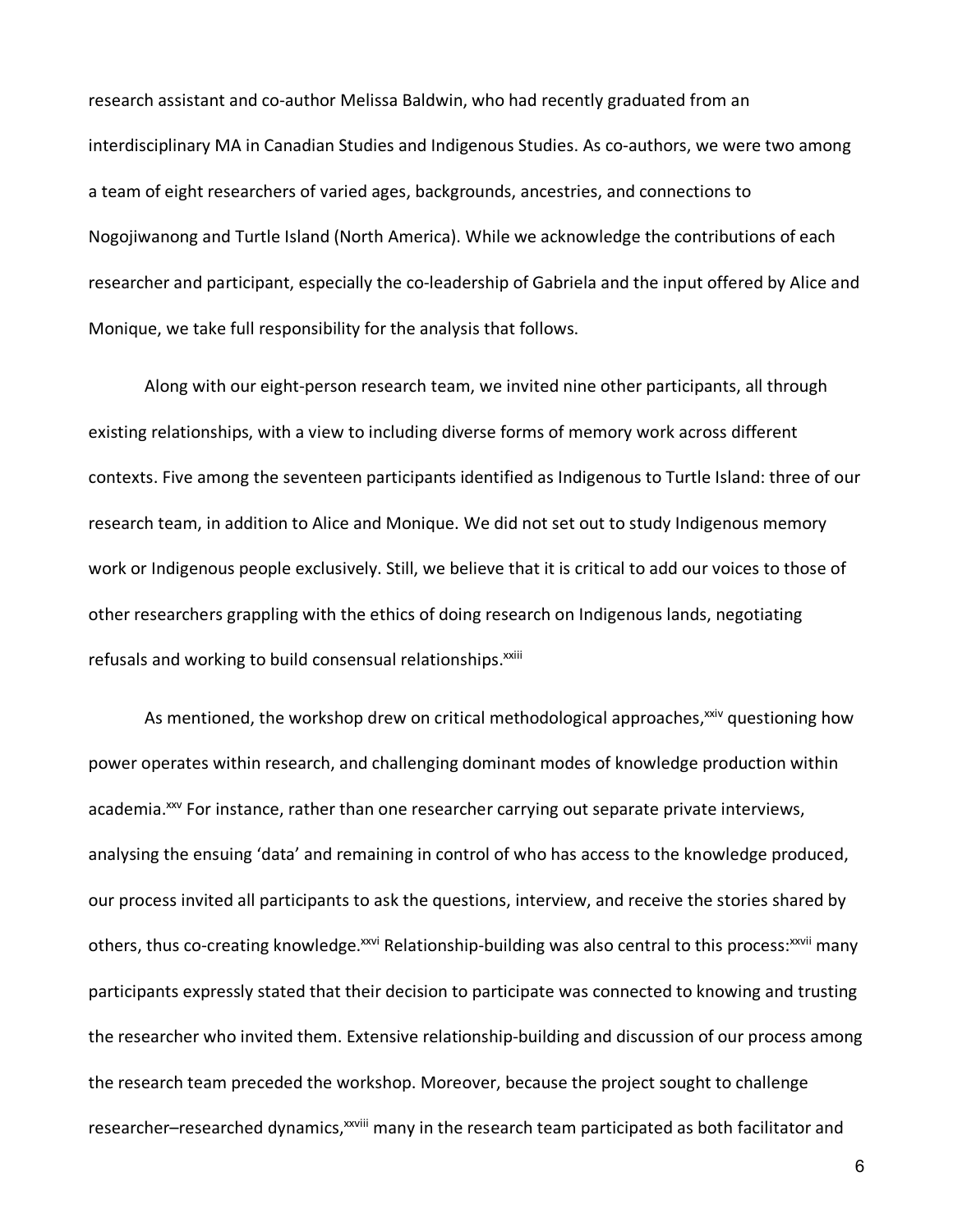research assistant and co-author Melissa Baldwin, who had recently graduated from an interdisciplinary MA in Canadian Studies and Indigenous Studies. As co-authors, we were two among a team of eight researchers of varied ages, backgrounds, ancestries, and connections to Nogojiwanong and Turtle Island (North America). While we acknowledge the contributions of each researcher and participant, especially the co-leadership of Gabriela and the input offered by Alice and Monique, we take full responsibility for the analysis that follows.

Along with our eight-person research team, we invited nine other participants, all through existing relationships, with a view to including diverse forms of memory work across different contexts. Five among the seventeen participants identified as Indigenous to Turtle Island: three of our research team, in addition to Alice and Monique. We did not set out to study Indigenous memory work or Indigenous people exclusively. Still, we believe that it is critical to add our voices to those of other researchers grappling with the ethics of doing research on Indigenous lands, negotiating refusals and working to build consensual relationships.<sup>xxiii</sup>

As mentioned, the workshop drew on critical methodological approaches, $x^{\text{xiv}}$  questioning how power operates within research, and challenging dominant modes of knowledge production within academia.<sup>xxv</sup> For instance, rather than one researcher carrying out separate private interviews, analysing the ensuing 'data' and remaining in control of who has access to the knowledge produced, our process invited all participants to ask the questions, interview, and receive the stories shared by others, thus co-creating knowledge.<sup>xxvi</sup> Relationship-building was also central to this process:<sup>xxvii</sup> many participants expressly stated that their decision to participate was connected to knowing and trusting the researcher who invited them. Extensive relationship-building and discussion of our process among the research team preceded the workshop. Moreover, because the project sought to challenge researcher–researched dynamics,<sup>xxviii</sup> many in the research team participated as both facilitator and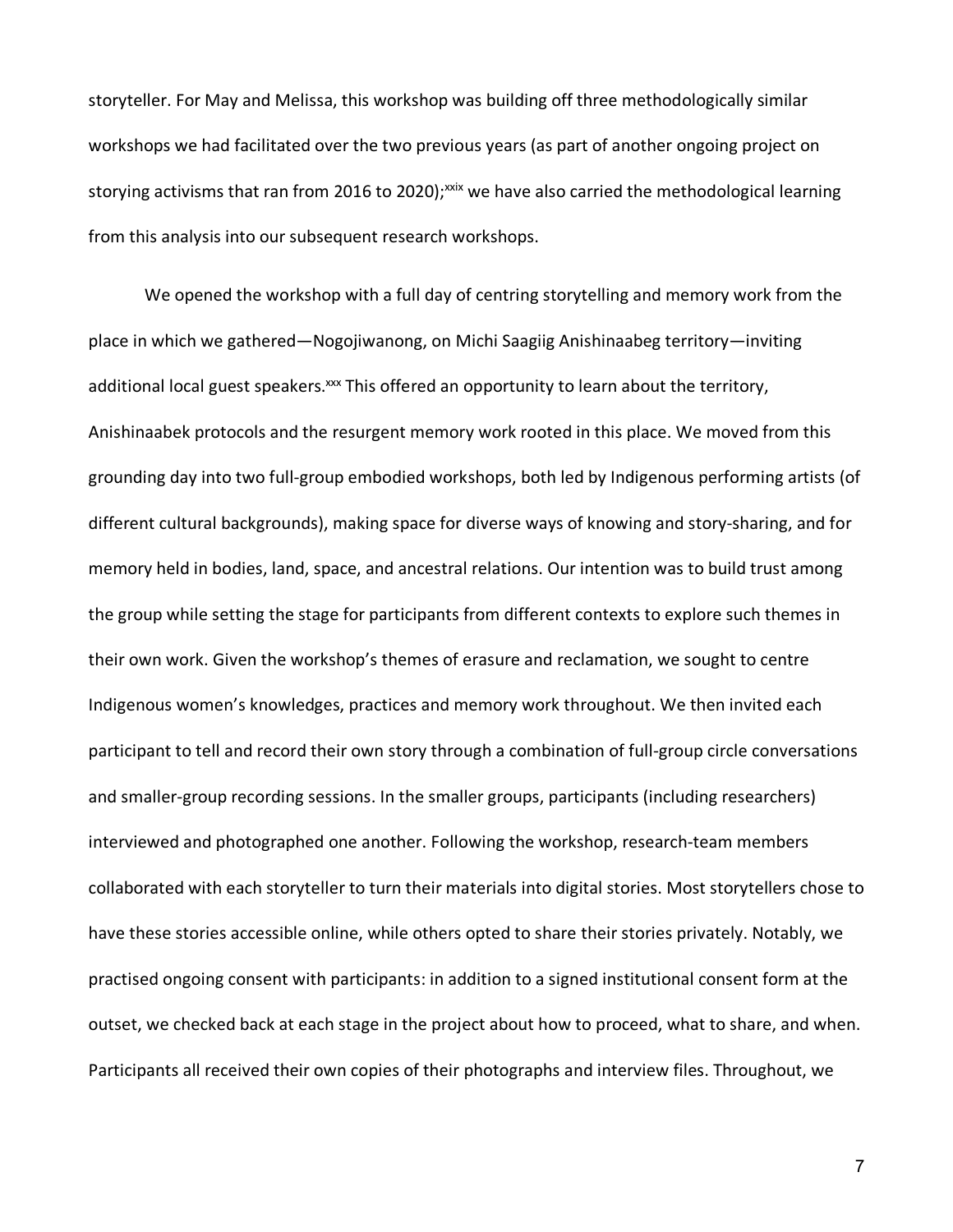storyteller. For May and Melissa, this workshop was building off three methodologically similar workshops we had facilitated over the two previous years (as part of another ongoing project on storying activisms that ran from 2016 to 2020);<sup>xxix</sup> we have also carried the methodological learning from this analysis into our subsequent research workshops.

We opened the workshop with a full day of centring storytelling and memory work from the place in which we gathered—Nogojiwanong, on Michi Saagiig Anishinaabeg territory—inviting additional local guest speakers.<sup>xxx</sup> This offered an opportunity to learn about the territory, Anishinaabek protocols and the resurgent memory work rooted in this place. We moved from this grounding day into two full-group embodied workshops, both led by Indigenous performing artists (of different cultural backgrounds), making space for diverse ways of knowing and story-sharing, and for memory held in bodies, land, space, and ancestral relations. Our intention was to build trust among the group while setting the stage for participants from different contexts to explore such themes in their own work. Given the workshop's themes of erasure and reclamation, we sought to centre Indigenous women's knowledges, practices and memory work throughout. We then invited each participant to tell and record their own story through a combination of full-group circle conversations and smaller-group recording sessions. In the smaller groups, participants (including researchers) interviewed and photographed one another. Following the workshop, research-team members collaborated with each storyteller to turn their materials into digital stories. Most storytellers chose to have these stories accessible online, while others opted to share their stories privately. Notably, we practised ongoing consent with participants: in addition to a signed institutional consent form at the outset, we checked back at each stage in the project about how to proceed, what to share, and when. Participants all received their own copies of their photographs and interview files. Throughout, we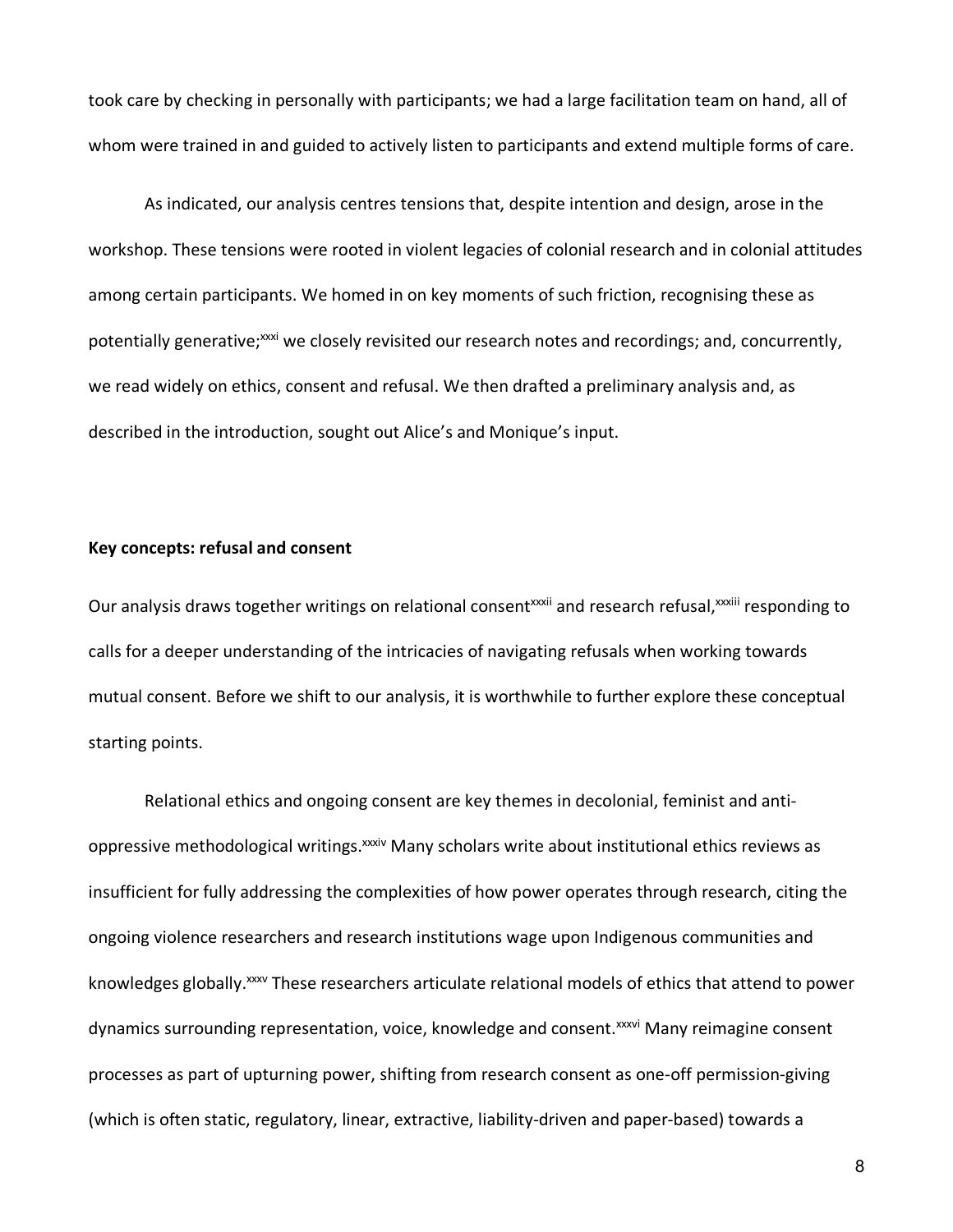took care by checking in personally with participants; we had a large facilitation team on hand, all of whom were trained in and guided to actively listen to participants and extend multiple forms of care.

As indicated, our analysis centres tensions that, despite intention and design, arose in the workshop. These tensions were rooted in violent legacies of colonial research and in colonial attitudes among certain participants. We homed in on key moments of such friction, recognising these as potentially generative;<sup>xxxi</sup> we closely revisited our research notes and recordings; and, concurrently, we read widely on ethics, consent and refusal. We then drafted a preliminary analysis and, as described in the introduction, sought out Alice's and Monique's input.

## **Key concepts: refusal and consent**

Our analysis draws together writings on relational consent<sup>xxxii</sup> and research refusal, xxxiii responding to calls for a deeper understanding of the intricacies of navigating refusals when working towards mutual consent. Before we shift to our analysis, it is worthwhile to further explore these conceptual starting points.

Relational ethics and ongoing consent are key themes in decolonial, feminist and antioppressive methodological writings.<sup>xxxiv</sup> Many scholars write about institutional ethics reviews as insufficient for fully addressing the complexities of how power operates through research, citing the ongoing violence researchers and research institutions wage upon Indigenous communities and knowledges globally.<sup>xxxv</sup> These researchers articulate relational models of ethics that attend to power dynamics surrounding representation, voice, knowledge and consent.<sup>xxxvi</sup> Many reimagine consent processes as part of upturning power, shifting from research consent as one-off permission-giving (which is often static, regulatory, linear, extractive, liability-driven and paper-based) towards a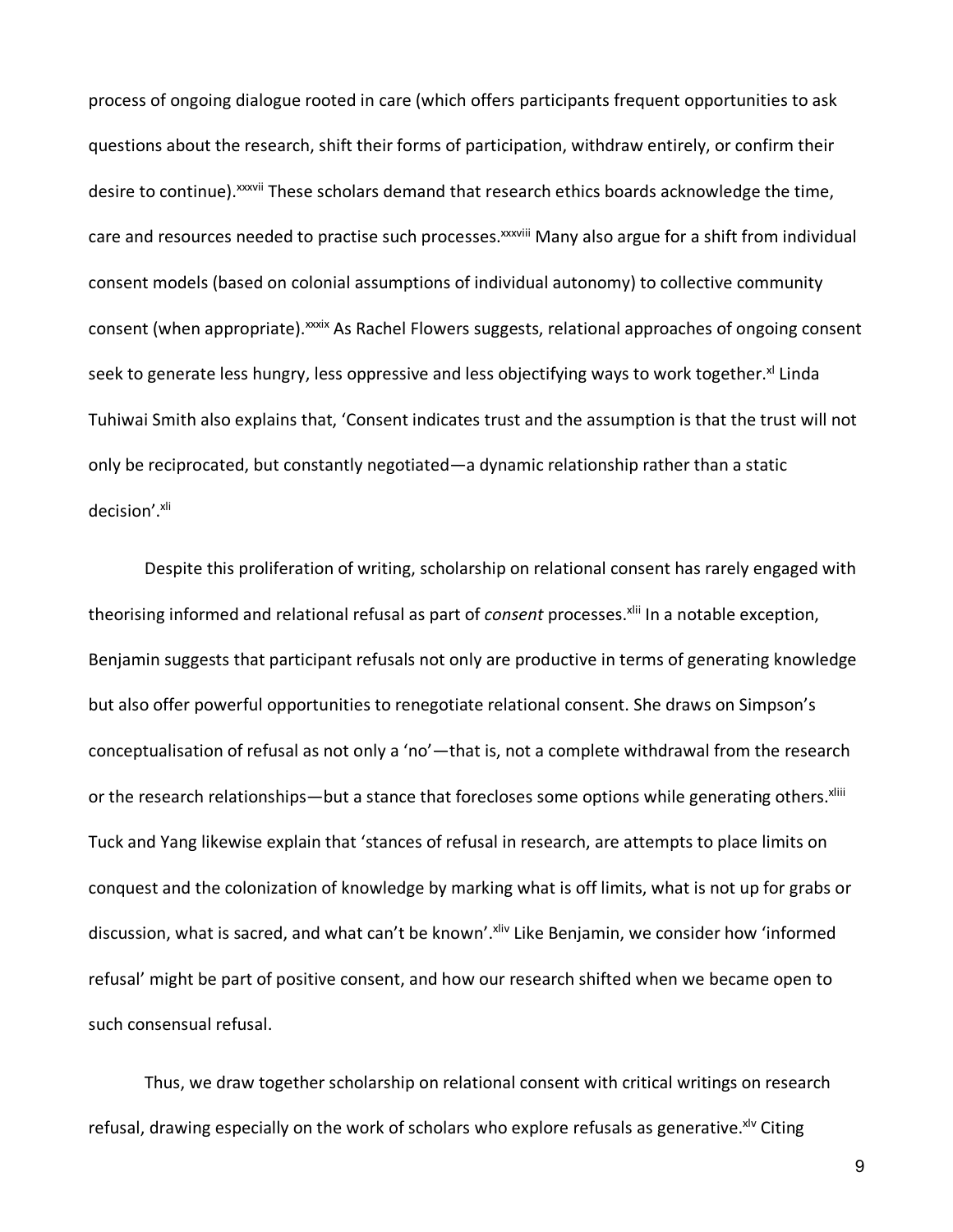process of ongoing dialogue rooted in care (which offers participants frequent opportunities to ask questions about the research, shift their forms of participation, withdraw entirely, or confirm their desire to continue).<sup>xxxvii</sup> These scholars demand that research ethics boards acknowledge the time, care and resources needed to practise such processes.<sup>xxxviii</sup> Many also argue for a shift from individual consent models (based on colonial assumptions of individual autonomy) to collective community consent (when appropriate). xxxix As Rachel Flowers suggests, relational approaches of ongoing consent seek to generate less hungry, less oppressive and less objectifying ways to work together.<sup>xl</sup> Linda Tuhiwai Smith also explains that, 'Consent indicates trust and the assumption is that the trust will not only be reciprocated, but constantly negotiated—a dynamic relationship rather than a static decision'.xli

Despite this proliferation of writing, scholarship on relational consent has rarely engaged with theorising informed and relational refusal as part of *consent* processes.<sup>xlii</sup> In a notable exception, Benjamin suggests that participant refusals not only are productive in terms of generating knowledge but also offer powerful opportunities to renegotiate relational consent. She draws on Simpson's conceptualisation of refusal as not only a 'no'—that is, not a complete withdrawal from the research or the research relationships—but a stance that forecloses some options while generating others. Xliii Tuck and Yang likewise explain that 'stances of refusal in research, are attempts to place limits on conquest and the colonization of knowledge by marking what is off limits, what is not up for grabs or discussion, what is sacred, and what can't be known'. Xliv Like Benjamin, we consider how 'informed refusal' might be part of positive consent, and how our research shifted when we became open to such consensual refusal.

Thus, we draw together scholarship on relational consent with critical writings on research refusal, drawing especially on the work of scholars who explore refusals as generative. <sup>XIV</sup> Citing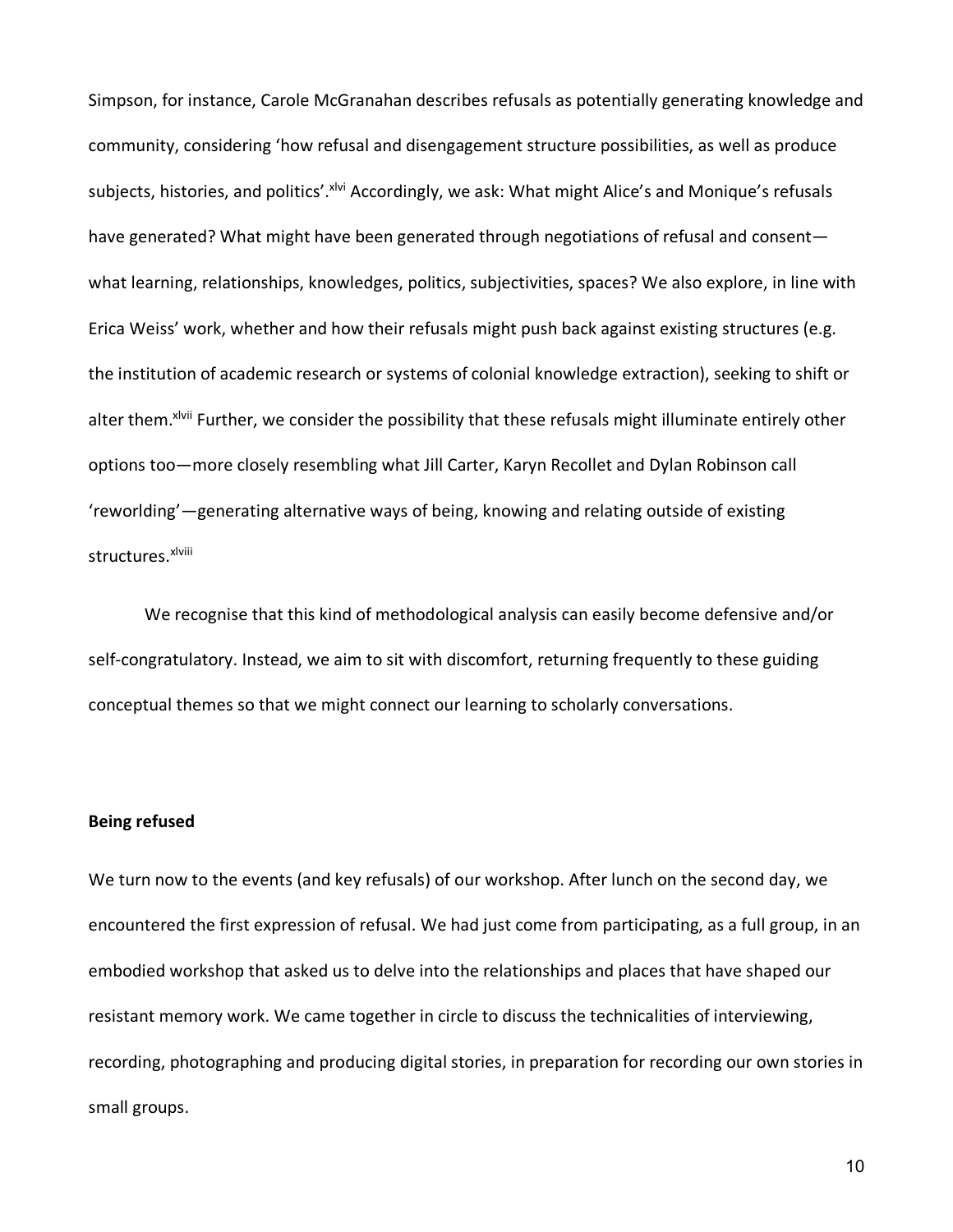Simpson, for instance, Carole McGranahan describes refusals as potentially generating knowledge and community, considering 'how refusal and disengagement structure possibilities, as well as produce subjects, histories, and politics'. XIVI Accordingly, we ask: What might Alice's and Monique's refusals have generated? What might have been generated through negotiations of refusal and consentwhat learning, relationships, knowledges, politics, subjectivities, spaces? We also explore, in line with Erica Weiss' work, whether and how their refusals might push back against existing structures (e.g. the institution of academic research or systems of colonial knowledge extraction), seeking to shift or alter them. *xlvii* Further, we consider the possibility that these refusals might illuminate entirely other options too—more closely resembling what Jill Carter, Karyn Recollet and Dylan Robinson call 'reworlding'—generating alternative ways of being, knowing and relating outside of existing structures.xlviii

We recognise that this kind of methodological analysis can easily become defensive and/or self-congratulatory. Instead, we aim to sit with discomfort, returning frequently to these guiding conceptual themes so that we might connect our learning to scholarly conversations.

## **Being refused**

We turn now to the events (and key refusals) of our workshop. After lunch on the second day, we encountered the first expression of refusal. We had just come from participating, as a full group, in an embodied workshop that asked us to delve into the relationships and places that have shaped our resistant memory work. We came together in circle to discuss the technicalities of interviewing, recording, photographing and producing digital stories, in preparation for recording our own stories in small groups.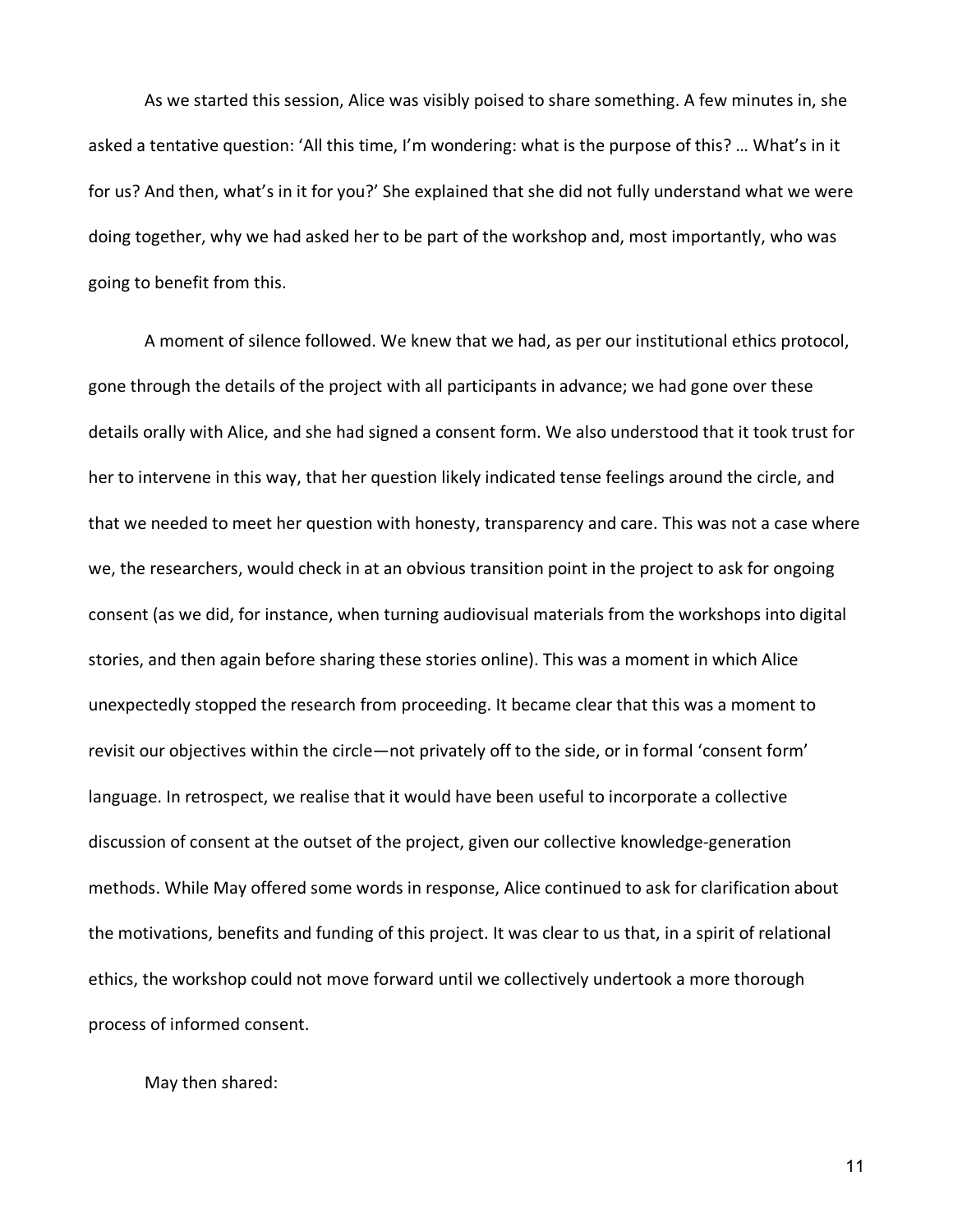As we started this session, Alice was visibly poised to share something. A few minutes in, she asked a tentative question: 'All this time, I'm wondering: what is the purpose of this? … What's in it for us? And then, what's in it for you?' She explained that she did not fully understand what we were doing together, why we had asked her to be part of the workshop and, most importantly, who was going to benefit from this.

A moment of silence followed. We knew that we had, as per our institutional ethics protocol, gone through the details of the project with all participants in advance; we had gone over these details orally with Alice, and she had signed a consent form. We also understood that it took trust for her to intervene in this way, that her question likely indicated tense feelings around the circle, and that we needed to meet her question with honesty, transparency and care. This was not a case where we, the researchers, would check in at an obvious transition point in the project to ask for ongoing consent (as we did, for instance, when turning audiovisual materials from the workshops into digital stories, and then again before sharing these stories online). This was a moment in which Alice unexpectedly stopped the research from proceeding. It became clear that this was a moment to revisit our objectives within the circle—not privately off to the side, or in formal 'consent form' language. In retrospect, we realise that it would have been useful to incorporate a collective discussion of consent at the outset of the project, given our collective knowledge-generation methods. While May offered some words in response, Alice continued to ask for clarification about the motivations, benefits and funding of this project. It was clear to us that, in a spirit of relational ethics, the workshop could not move forward until we collectively undertook a more thorough process of informed consent.

May then shared: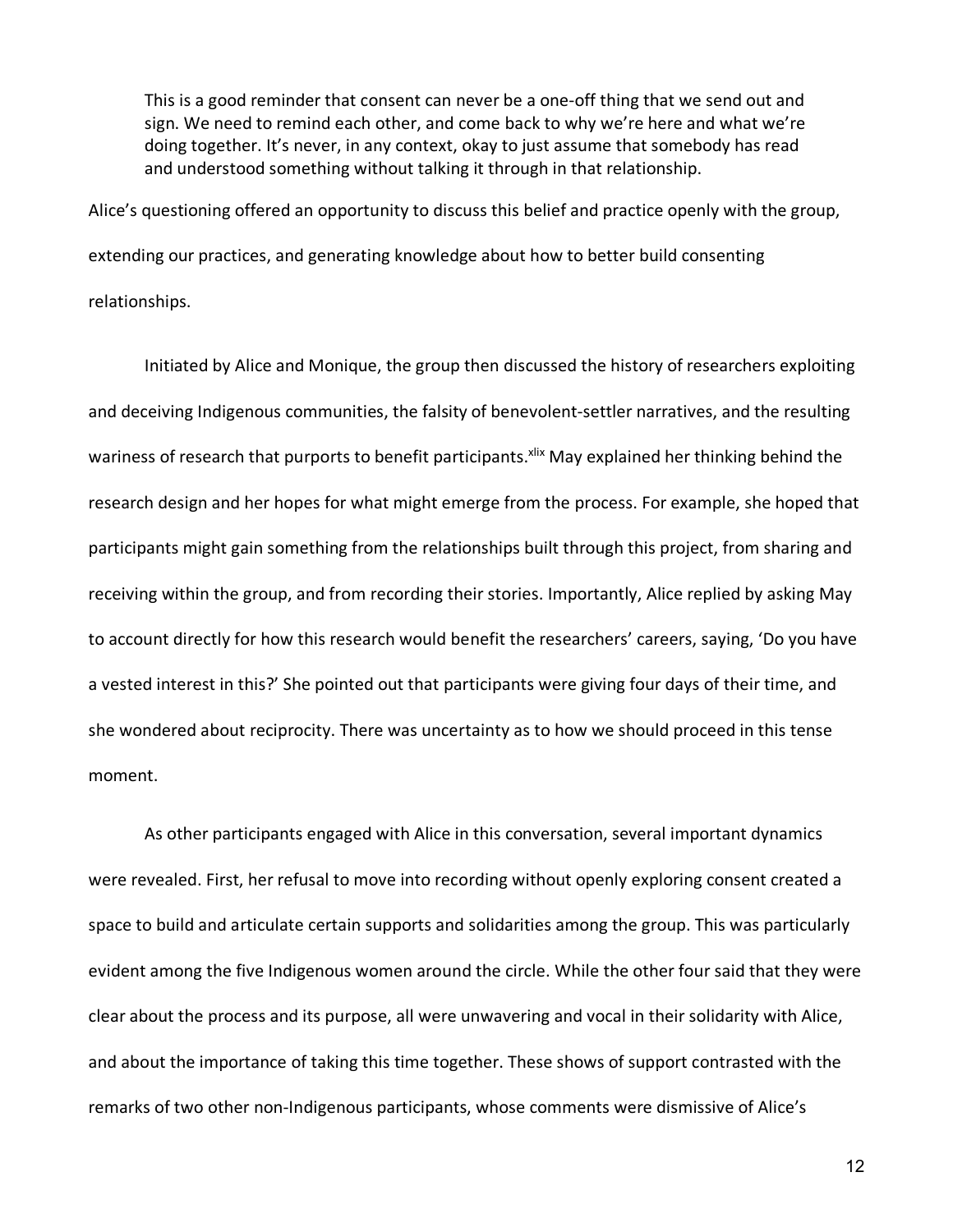This is a good reminder that consent can never be a one-off thing that we send out and sign. We need to remind each other, and come back to why we're here and what we're doing together. It's never, in any context, okay to just assume that somebody has read and understood something without talking it through in that relationship.

Alice's questioning offered an opportunity to discuss this belief and practice openly with the group, extending our practices, and generating knowledge about how to better build consenting relationships.

Initiated by Alice and Monique, the group then discussed the history of researchers exploiting and deceiving Indigenous communities, the falsity of benevolent-settler narratives, and the resulting wariness of research that purports to benefit participants. Xiix May explained her thinking behind the research design and her hopes for what might emerge from the process. For example, she hoped that participants might gain something from the relationships built through this project, from sharing and receiving within the group, and from recording their stories. Importantly, Alice replied by asking May to account directly for how this research would benefit the researchers' careers, saying, 'Do you have a vested interest in this?' She pointed out that participants were giving four days of their time, and she wondered about reciprocity. There was uncertainty as to how we should proceed in this tense moment.

As other participants engaged with Alice in this conversation, several important dynamics were revealed. First, her refusal to move into recording without openly exploring consent created a space to build and articulate certain supports and solidarities among the group. This was particularly evident among the five Indigenous women around the circle. While the other four said that they were clear about the process and its purpose, all were unwavering and vocal in their solidarity with Alice, and about the importance of taking this time together. These shows of support contrasted with the remarks of two other non-Indigenous participants, whose comments were dismissive of Alice's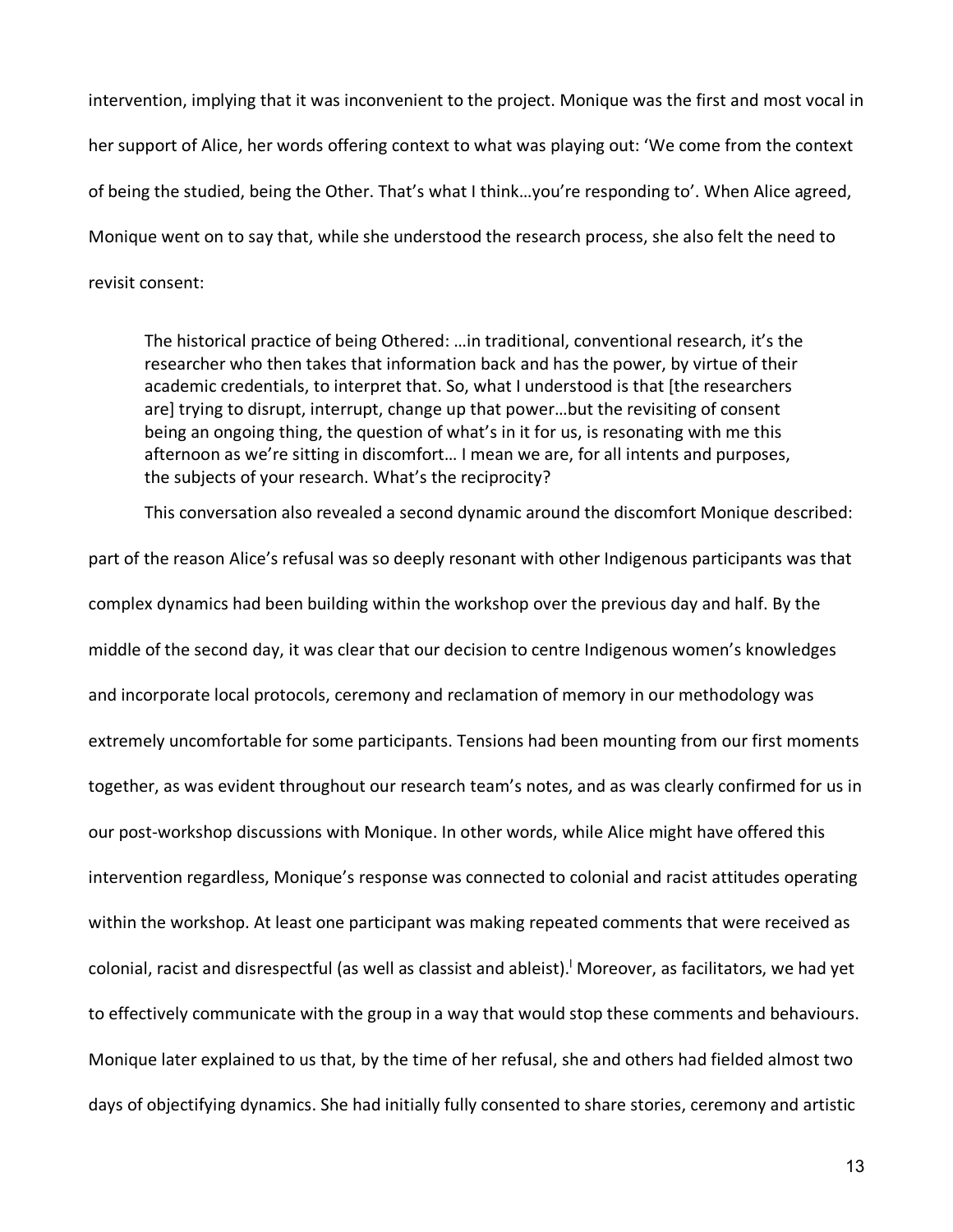intervention, implying that it was inconvenient to the project. Monique was the first and most vocal in her support of Alice, her words offering context to what was playing out: 'We come from the context of being the studied, being the Other. That's what I think…you're responding to'. When Alice agreed, Monique went on to say that, while she understood the research process, she also felt the need to revisit consent:

The historical practice of being Othered: …in traditional, conventional research, it's the researcher who then takes that information back and has the power, by virtue of their academic credentials, to interpret that. So, what I understood is that [the researchers are] trying to disrupt, interrupt, change up that power…but the revisiting of consent being an ongoing thing, the question of what's in it for us, is resonating with me this afternoon as we're sitting in discomfort… I mean we are, for all intents and purposes, the subjects of your research. What's the reciprocity?

This conversation also revealed a second dynamic around the discomfort Monique described:

part of the reason Alice's refusal was so deeply resonant with other Indigenous participants was that complex dynamics had been building within the workshop over the previous day and half. By the middle of the second day, it was clear that our decision to centre Indigenous women's knowledges and incorporate local protocols, ceremony and reclamation of memory in our methodology was extremely uncomfortable for some participants. Tensions had been mounting from our first moments together, as was evident throughout our research team's notes, and as was clearly confirmed for us in our post-workshop discussions with Monique. In other words, while Alice might have offered this intervention regardless, Monique's response was connected to colonial and racist attitudes operating within the workshop. At least one participant was making repeated comments that were received as colonial, racist and disrespectful (as well as classist and ableist).<sup>I</sup> Moreover, as facilitators, we had yet to effectively communicate with the group in a way that would stop these comments and behaviours. Monique later explained to us that, by the time of her refusal, she and others had fielded almost two days of objectifying dynamics. She had initially fully consented to share stories, ceremony and artistic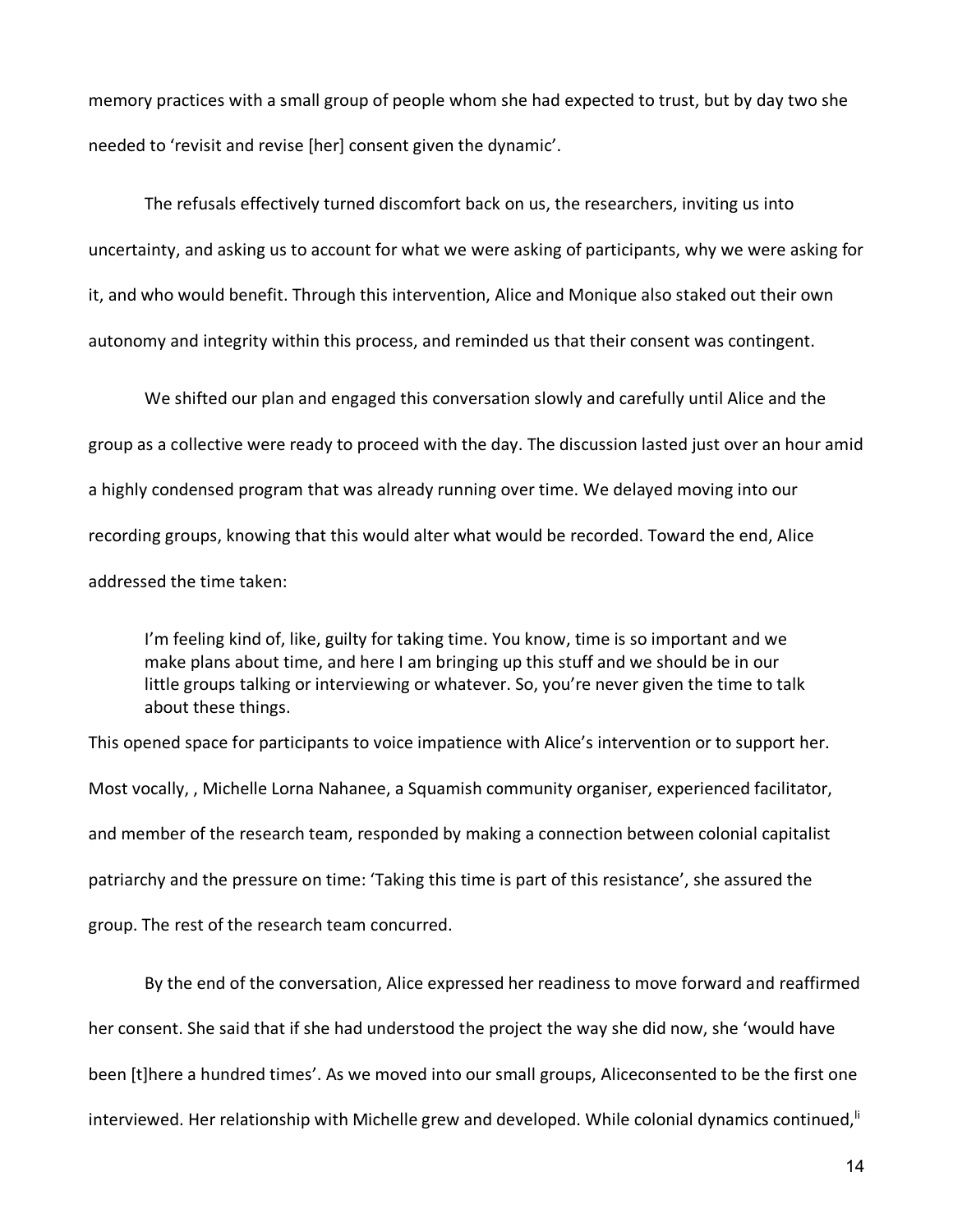memory practices with a small group of people whom she had expected to trust, but by day two she needed to 'revisit and revise [her] consent given the dynamic'.

The refusals effectively turned discomfort back on us, the researchers, inviting us into uncertainty, and asking us to account for what we were asking of participants, why we were asking for it, and who would benefit. Through this intervention, Alice and Monique also staked out their own autonomy and integrity within this process, and reminded us that their consent was contingent.

We shifted our plan and engaged this conversation slowly and carefully until Alice and the group as a collective were ready to proceed with the day. The discussion lasted just over an hour amid a highly condensed program that was already running over time. We delayed moving into our recording groups, knowing that this would alter what would be recorded. Toward the end, Alice addressed the time taken:

I'm feeling kind of, like, guilty for taking time. You know, time is so important and we make plans about time, and here I am bringing up this stuff and we should be in our little groups talking or interviewing or whatever. So, you're never given the time to talk about these things.

This opened space for participants to voice impatience with Alice's intervention or to support her. Most vocally, , Michelle Lorna Nahanee, a Squamish community organiser, experienced facilitator, and member of the research team, responded by making a connection between colonial capitalist patriarchy and the pressure on time: 'Taking this time is part of this resistance', she assured the group. The rest of the research team concurred.

By the end of the conversation, Alice expressed her readiness to move forward and reaffirmed her consent. She said that if she had understood the project the way she did now, she 'would have been [t]here a hundred times'. As we moved into our small groups, Aliceconsented to be the first one interviewed. Her relationship with Michelle grew and developed. While colonial dynamics continued,<sup>ii</sup>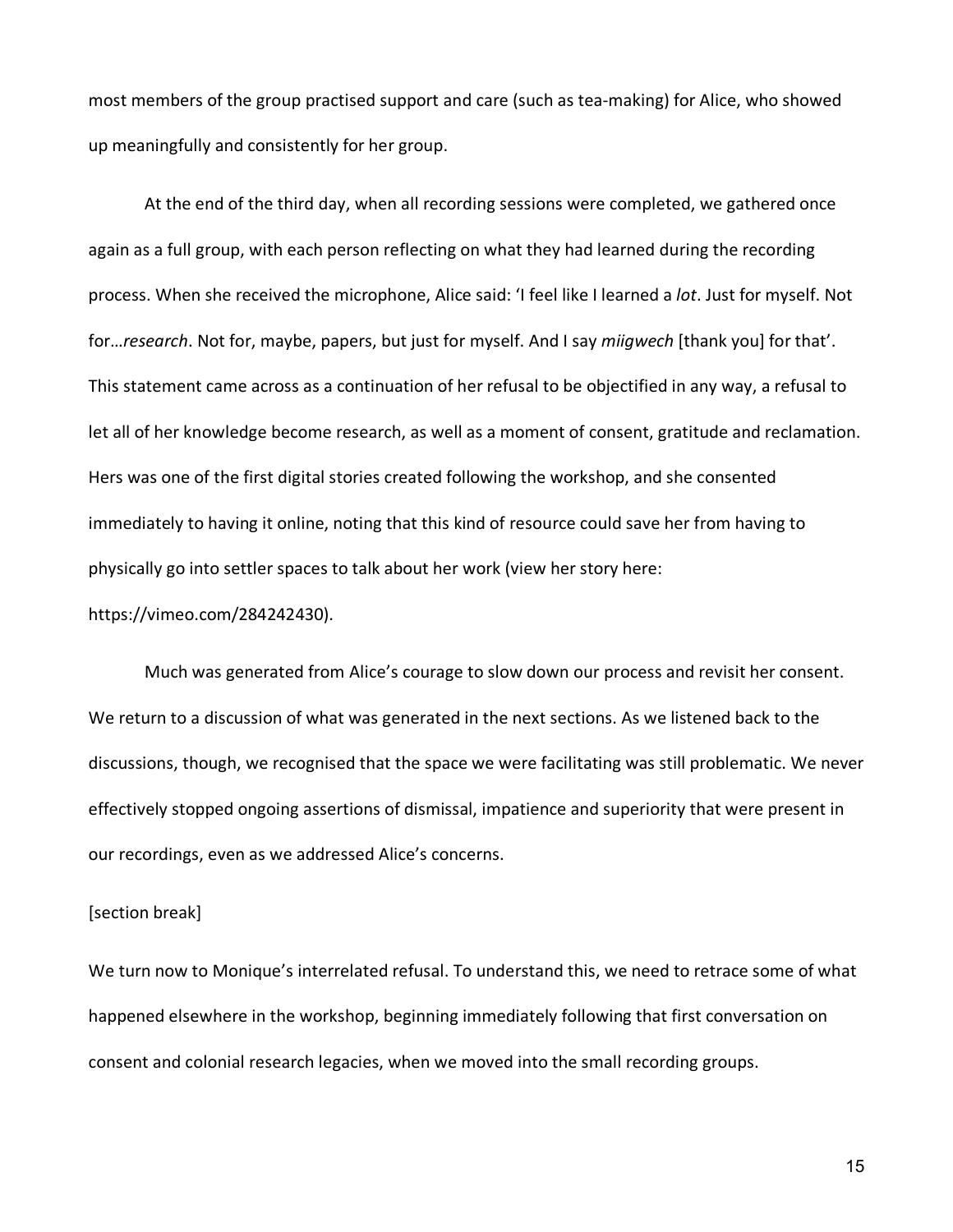most members of the group practised support and care (such as tea-making) for Alice, who showed up meaningfully and consistently for her group.

At the end of the third day, when all recording sessions were completed, we gathered once again as a full group, with each person reflecting on what they had learned during the recording process. When she received the microphone, Alice said: 'I feel like I learned a *lot*. Just for myself. Not for…*research*. Not for, maybe, papers, but just for myself. And I say *miigwech* [thank you] for that'. This statement came across as a continuation of her refusal to be objectified in any way, a refusal to let all of her knowledge become research, as well as a moment of consent, gratitude and reclamation. Hers was one of the first digital stories created following the workshop, and she consented immediately to having it online, noting that this kind of resource could save her from having to physically go into settler spaces to talk about her work (view her story here:

### https://vimeo.com/284242430).

Much was generated from Alice's courage to slow down our process and revisit her consent. We return to a discussion of what was generated in the next sections. As we listened back to the discussions, though, we recognised that the space we were facilitating was still problematic. We never effectively stopped ongoing assertions of dismissal, impatience and superiority that were present in our recordings, even as we addressed Alice's concerns.

#### [section break]

We turn now to Monique's interrelated refusal. To understand this, we need to retrace some of what happened elsewhere in the workshop, beginning immediately following that first conversation on consent and colonial research legacies, when we moved into the small recording groups.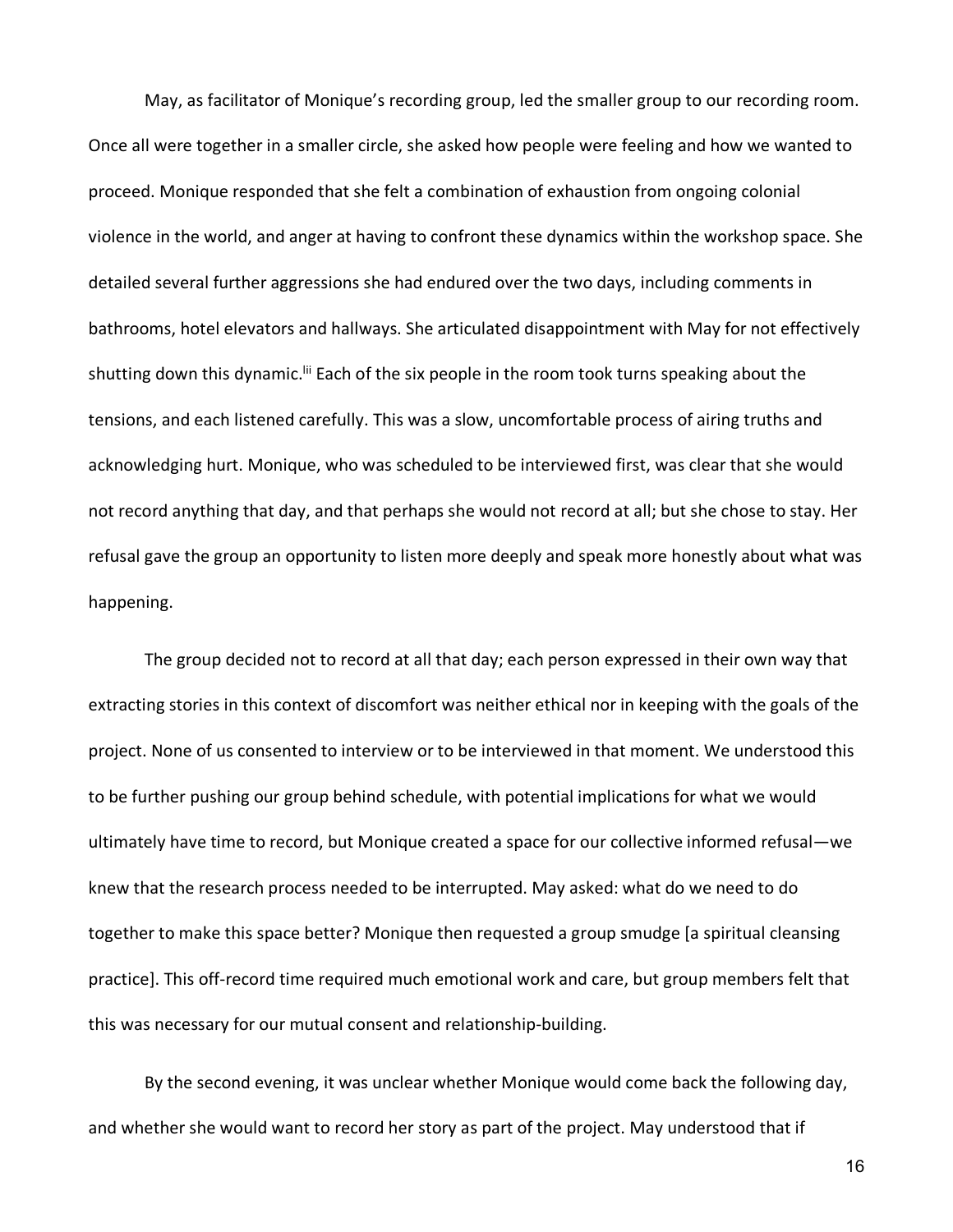May, as facilitator of Monique's recording group, led the smaller group to our recording room. Once all were together in a smaller circle, she asked how people were feeling and how we wanted to proceed. Monique responded that she felt a combination of exhaustion from ongoing colonial violence in the world, and anger at having to confront these dynamics within the workshop space. She detailed several further aggressions she had endured over the two days, including comments in bathrooms, hotel elevators and hallways. She articulated disappointment with May for not effectively shutting down this dynamic.<sup>Iii</sup> Each of the six people in the room took turns speaking about the tensions, and each listened carefully. This was a slow, uncomfortable process of airing truths and acknowledging hurt. Monique, who was scheduled to be interviewed first, was clear that she would not record anything that day, and that perhaps she would not record at all; but she chose to stay. Her refusal gave the group an opportunity to listen more deeply and speak more honestly about what was happening.

The group decided not to record at all that day; each person expressed in their own way that extracting stories in this context of discomfort was neither ethical nor in keeping with the goals of the project. None of us consented to interview or to be interviewed in that moment. We understood this to be further pushing our group behind schedule, with potential implications for what we would ultimately have time to record, but Monique created a space for our collective informed refusal—we knew that the research process needed to be interrupted. May asked: what do we need to do together to make this space better? Monique then requested a group smudge [a spiritual cleansing practice]. This off-record time required much emotional work and care, but group members felt that this was necessary for our mutual consent and relationship-building.

By the second evening, it was unclear whether Monique would come back the following day, and whether she would want to record her story as part of the project. May understood that if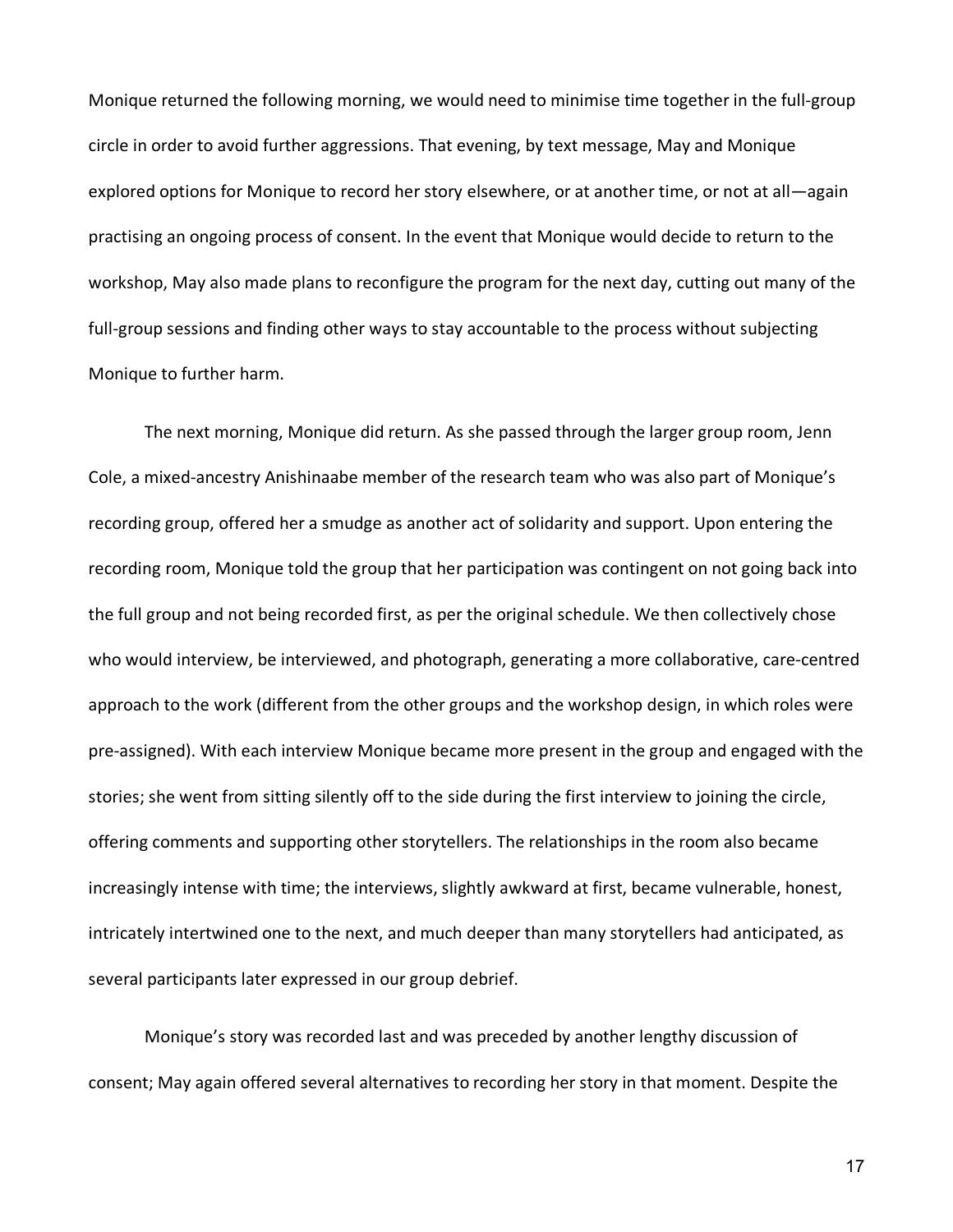Monique returned the following morning, we would need to minimise time together in the full-group circle in order to avoid further aggressions. That evening, by text message, May and Monique explored options for Monique to record her story elsewhere, or at another time, or not at all—again practising an ongoing process of consent. In the event that Monique would decide to return to the workshop, May also made plans to reconfigure the program for the next day, cutting out many of the full-group sessions and finding other ways to stay accountable to the process without subjecting Monique to further harm.

The next morning, Monique did return. As she passed through the larger group room, Jenn Cole, a mixed-ancestry Anishinaabe member of the research team who was also part of Monique's recording group, offered her a smudge as another act of solidarity and support. Upon entering the recording room, Monique told the group that her participation was contingent on not going back into the full group and not being recorded first, as per the original schedule. We then collectively chose who would interview, be interviewed, and photograph, generating a more collaborative, care-centred approach to the work (different from the other groups and the workshop design, in which roles were pre-assigned). With each interview Monique became more present in the group and engaged with the stories; she went from sitting silently off to the side during the first interview to joining the circle, offering comments and supporting other storytellers. The relationships in the room also became increasingly intense with time; the interviews, slightly awkward at first, became vulnerable, honest, intricately intertwined one to the next, and much deeper than many storytellers had anticipated, as several participants later expressed in our group debrief.

Monique's story was recorded last and was preceded by another lengthy discussion of consent; May again offered several alternatives to recording her story in that moment. Despite the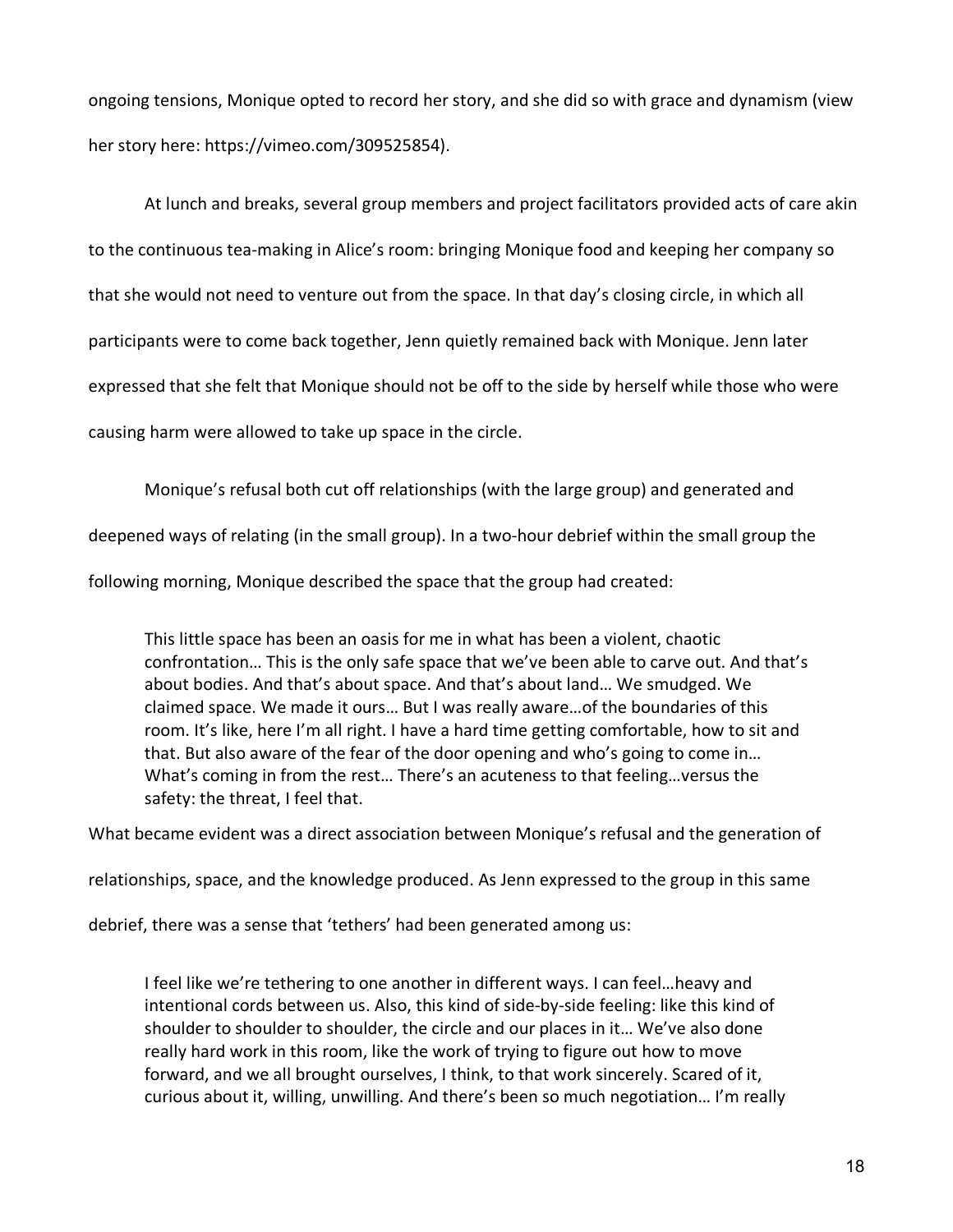ongoing tensions, Monique opted to record her story, and she did so with grace and dynamism (view her story here: https://vimeo.com/309525854).

At lunch and breaks, several group members and project facilitators provided acts of care akin to the continuous tea-making in Alice's room: bringing Monique food and keeping her company so that she would not need to venture out from the space. In that day's closing circle, in which all participants were to come back together, Jenn quietly remained back with Monique. Jenn later expressed that she felt that Monique should not be off to the side by herself while those who were causing harm were allowed to take up space in the circle.

Monique's refusal both cut off relationships (with the large group) and generated and

deepened ways of relating (in the small group). In a two-hour debrief within the small group the

following morning, Monique described the space that the group had created:

This little space has been an oasis for me in what has been a violent, chaotic confrontation… This is the only safe space that we've been able to carve out. And that's about bodies. And that's about space. And that's about land… We smudged. We claimed space. We made it ours… But I was really aware…of the boundaries of this room. It's like, here I'm all right. I have a hard time getting comfortable, how to sit and that. But also aware of the fear of the door opening and who's going to come in… What's coming in from the rest… There's an acuteness to that feeling…versus the safety: the threat, I feel that.

What became evident was a direct association between Monique's refusal and the generation of

relationships, space, and the knowledge produced. As Jenn expressed to the group in this same

debrief, there was a sense that 'tethers' had been generated among us:

I feel like we're tethering to one another in different ways. I can feel…heavy and intentional cords between us. Also, this kind of side-by-side feeling: like this kind of shoulder to shoulder to shoulder, the circle and our places in it… We've also done really hard work in this room, like the work of trying to figure out how to move forward, and we all brought ourselves, I think, to that work sincerely. Scared of it, curious about it, willing, unwilling. And there's been so much negotiation… I'm really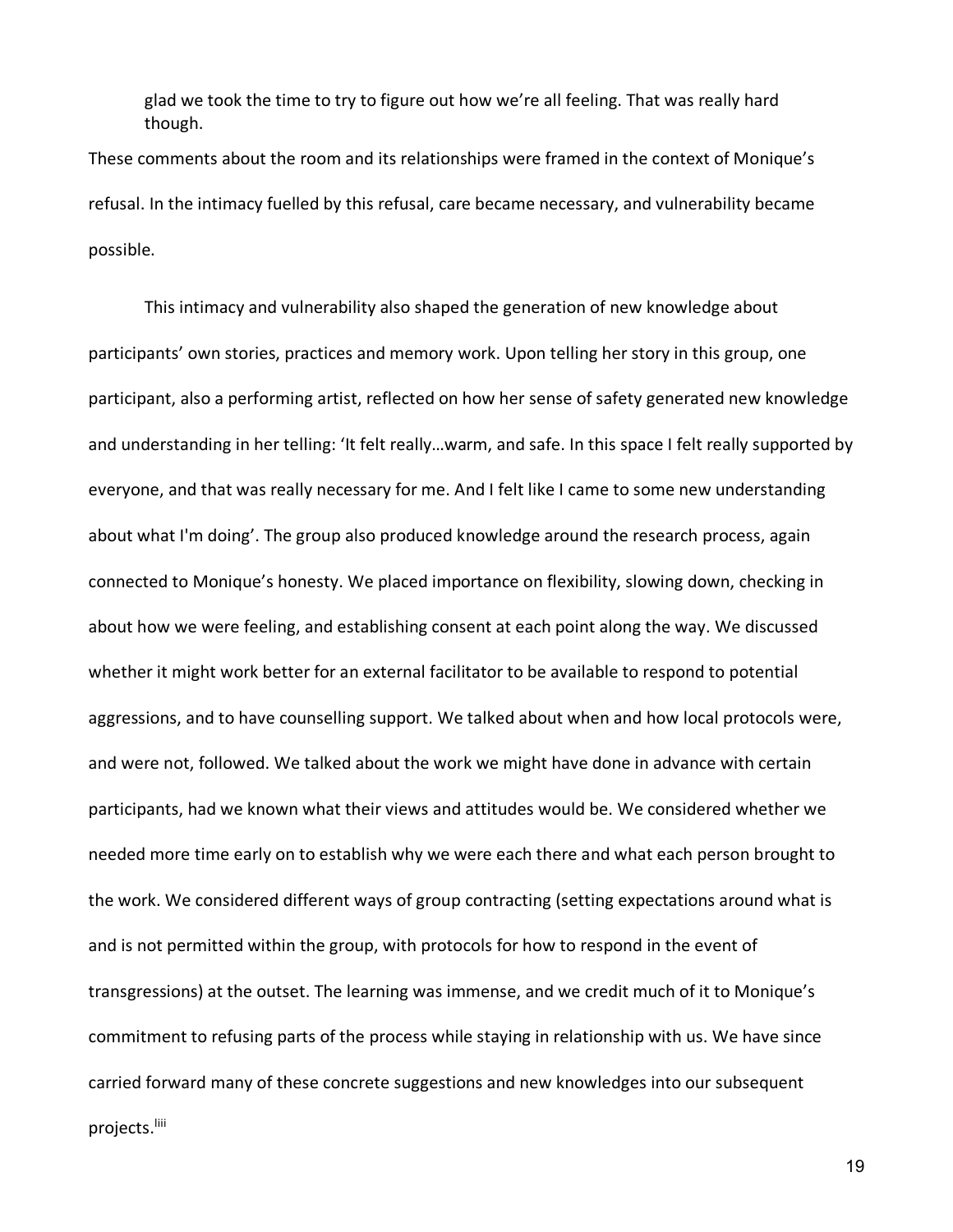glad we took the time to try to figure out how we're all feeling. That was really hard though.

These comments about the room and its relationships were framed in the context of Monique's refusal. In the intimacy fuelled by this refusal, care became necessary, and vulnerability became possible.

This intimacy and vulnerability also shaped the generation of new knowledge about participants' own stories, practices and memory work. Upon telling her story in this group, one participant, also a performing artist, reflected on how her sense of safety generated new knowledge and understanding in her telling: 'It felt really…warm, and safe. In this space I felt really supported by everyone, and that was really necessary for me. And I felt like I came to some new understanding about what I'm doing'. The group also produced knowledge around the research process, again connected to Monique's honesty. We placed importance on flexibility, slowing down, checking in about how we were feeling, and establishing consent at each point along the way. We discussed whether it might work better for an external facilitator to be available to respond to potential aggressions, and to have counselling support. We talked about when and how local protocols were, and were not, followed. We talked about the work we might have done in advance with certain participants, had we known what their views and attitudes would be. We considered whether we needed more time early on to establish why we were each there and what each person brought to the work. We considered different ways of group contracting (setting expectations around what is and is not permitted within the group, with protocols for how to respond in the event of transgressions) at the outset. The learning was immense, and we credit much of it to Monique's commitment to refusing parts of the process while staying in relationship with us. We have since carried forward many of these concrete suggestions and new knowledges into our subsequent projects.<sup>liii</sup>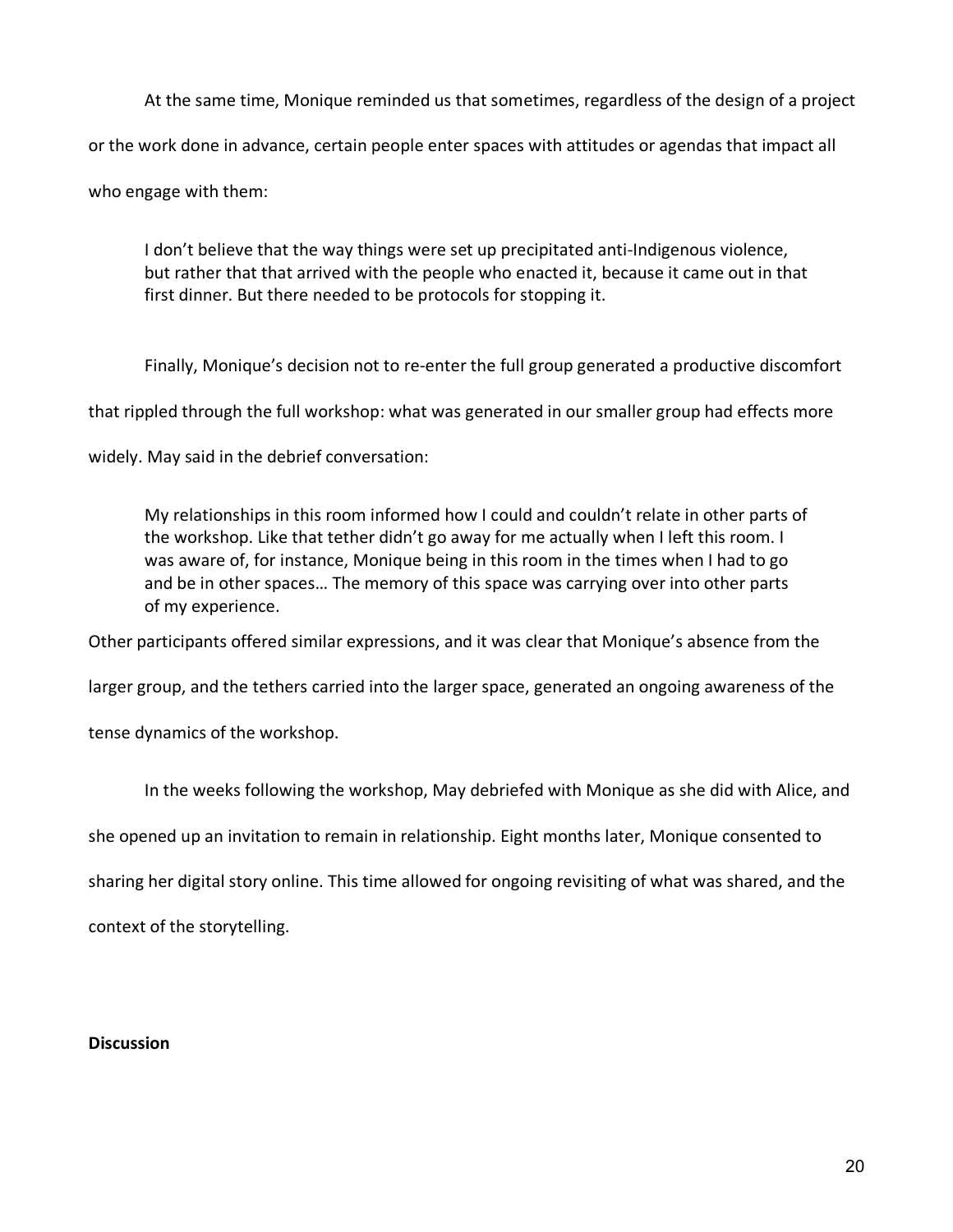At the same time, Monique reminded us that sometimes, regardless of the design of a project or the work done in advance, certain people enter spaces with attitudes or agendas that impact all who engage with them:

I don't believe that the way things were set up precipitated anti-Indigenous violence, but rather that that arrived with the people who enacted it, because it came out in that first dinner. But there needed to be protocols for stopping it.

Finally, Monique's decision not to re-enter the full group generated a productive discomfort

that rippled through the full workshop: what was generated in our smaller group had effects more

widely. May said in the debrief conversation:

My relationships in this room informed how I could and couldn't relate in other parts of the workshop. Like that tether didn't go away for me actually when I left this room. I was aware of, for instance, Monique being in this room in the times when I had to go and be in other spaces… The memory of this space was carrying over into other parts of my experience.

Other participants offered similar expressions, and it was clear that Monique's absence from the

larger group, and the tethers carried into the larger space, generated an ongoing awareness of the

tense dynamics of the workshop.

In the weeks following the workshop, May debriefed with Monique as she did with Alice, and

she opened up an invitation to remain in relationship. Eight months later, Monique consented to

sharing her digital story online. This time allowed for ongoing revisiting of what was shared, and the

context of the storytelling.

### **Discussion**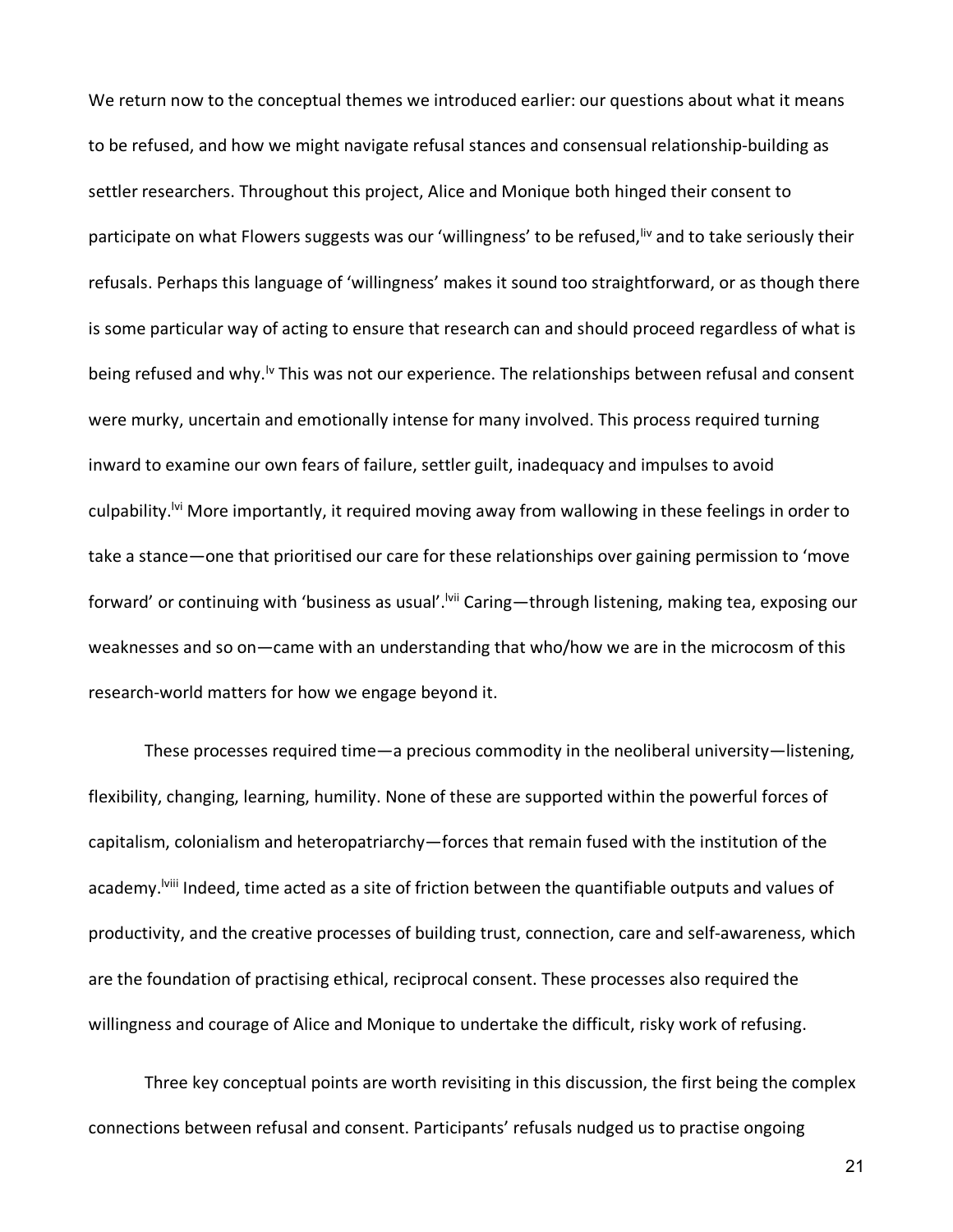We return now to the conceptual themes we introduced earlier: our questions about what it means to be refused, and how we might navigate refusal stances and consensual relationship-building as settler researchers. Throughout this project, Alice and Monique both hinged their consent to participate on what Flowers suggests was our 'willingness' to be refused, <sup>liv</sup> and to take seriously their refusals. Perhaps this language of 'willingness' makes it sound too straightforward, or as though there is some particular way of acting to ensure that research can and should proceed regardless of what is being refused and why.<sup>Iv</sup> This was not our experience. The relationships between refusal and consent were murky, uncertain and emotionally intense for many involved. This process required turning inward to examine our own fears of failure, settler guilt, inadequacy and impulses to avoid culpability.<sup>Ivi</sup> More importantly, it required moving away from wallowing in these feelings in order to take a stance—one that prioritised our care for these relationships over gaining permission to 'move forward' or continuing with 'business as usual'.<sup>Ivii</sup> Caring—through listening, making tea, exposing our weaknesses and so on—came with an understanding that who/how we are in the microcosm of this research-world matters for how we engage beyond it.

These processes required time—a precious commodity in the neoliberal university—listening, flexibility, changing, learning, humility. None of these are supported within the powerful forces of capitalism, colonialism and heteropatriarchy—forces that remain fused with the institution of the academy.<sup>Iviii</sup> Indeed, time acted as a site of friction between the quantifiable outputs and values of productivity, and the creative processes of building trust, connection, care and self-awareness, which are the foundation of practising ethical, reciprocal consent. These processes also required the willingness and courage of Alice and Monique to undertake the difficult, risky work of refusing.

Three key conceptual points are worth revisiting in this discussion, the first being the complex connections between refusal and consent. Participants' refusals nudged us to practise ongoing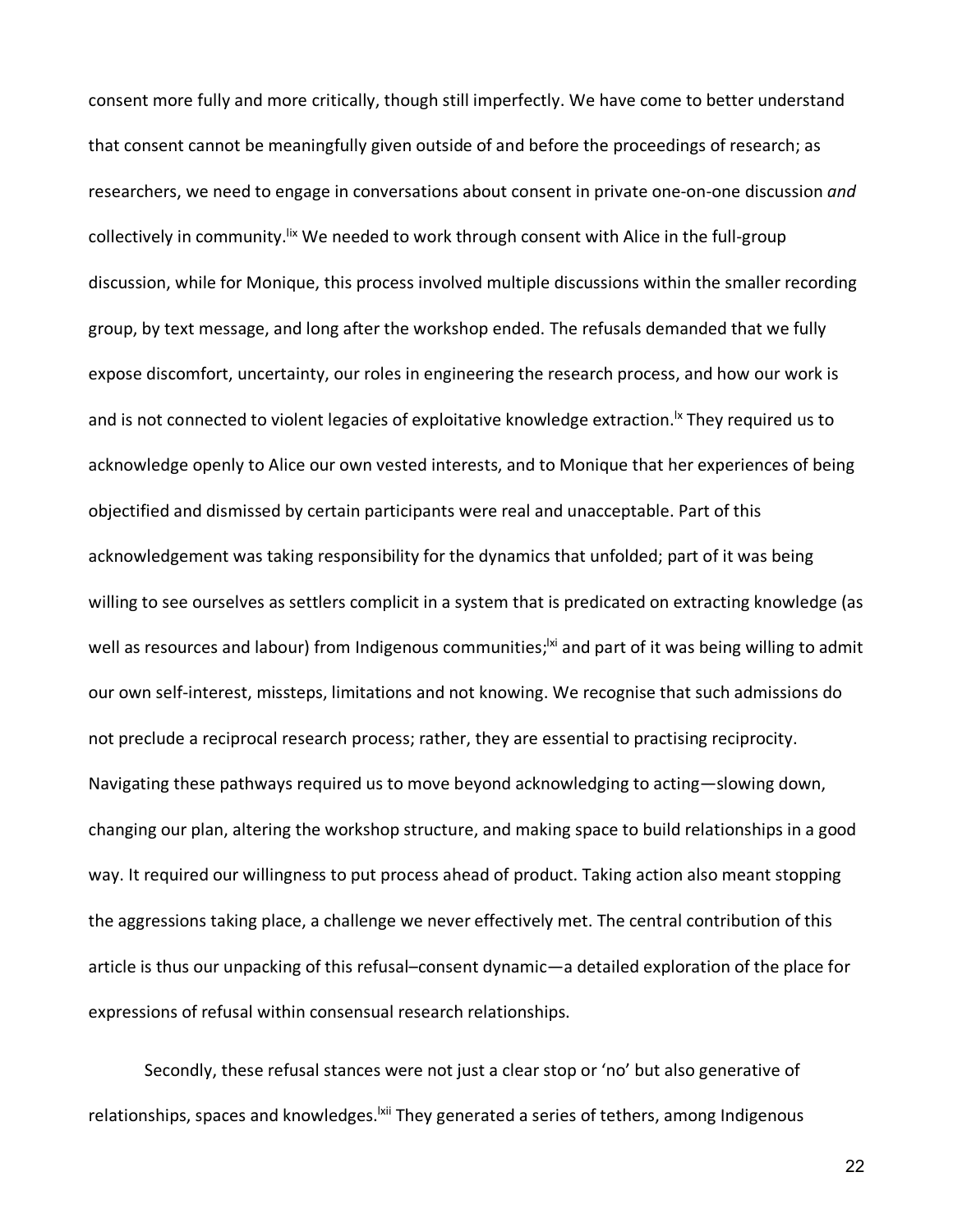consent more fully and more critically, though still imperfectly. We have come to better understand that consent cannot be meaningfully given outside of and before the proceedings of research; as researchers, we need to engage in conversations about consent in private one-on-one discussion *and* collectively in community.<sup>Iix</sup> We needed to work through consent with Alice in the full-group discussion, while for Monique, this process involved multiple discussions within the smaller recording group, by text message, and long after the workshop ended. The refusals demanded that we fully expose discomfort, uncertainty, our roles in engineering the research process, and how our work is and is not connected to violent legacies of exploitative knowledge extraction.<sup>Ix</sup> They required us to acknowledge openly to Alice our own vested interests, and to Monique that her experiences of being objectified and dismissed by certain participants were real and unacceptable. Part of this acknowledgement was taking responsibility for the dynamics that unfolded; part of it was being willing to see ourselves as settlers complicit in a system that is predicated on extracting knowledge (as well as resources and labour) from Indigenous communities;<sup>|xi</sup> and part of it was being willing to admit our own self-interest, missteps, limitations and not knowing. We recognise that such admissions do not preclude a reciprocal research process; rather, they are essential to practising reciprocity. Navigating these pathways required us to move beyond acknowledging to acting—slowing down, changing our plan, altering the workshop structure, and making space to build relationships in a good way. It required our willingness to put process ahead of product. Taking action also meant stopping the aggressions taking place, a challenge we never effectively met. The central contribution of this article is thus our unpacking of this refusal–consent dynamic—a detailed exploration of the place for expressions of refusal within consensual research relationships.

Secondly, these refusal stances were not just a clear stop or 'no' but also generative of relationships, spaces and knowledges. <sup>|xii</sup> They generated a series of tethers, among Indigenous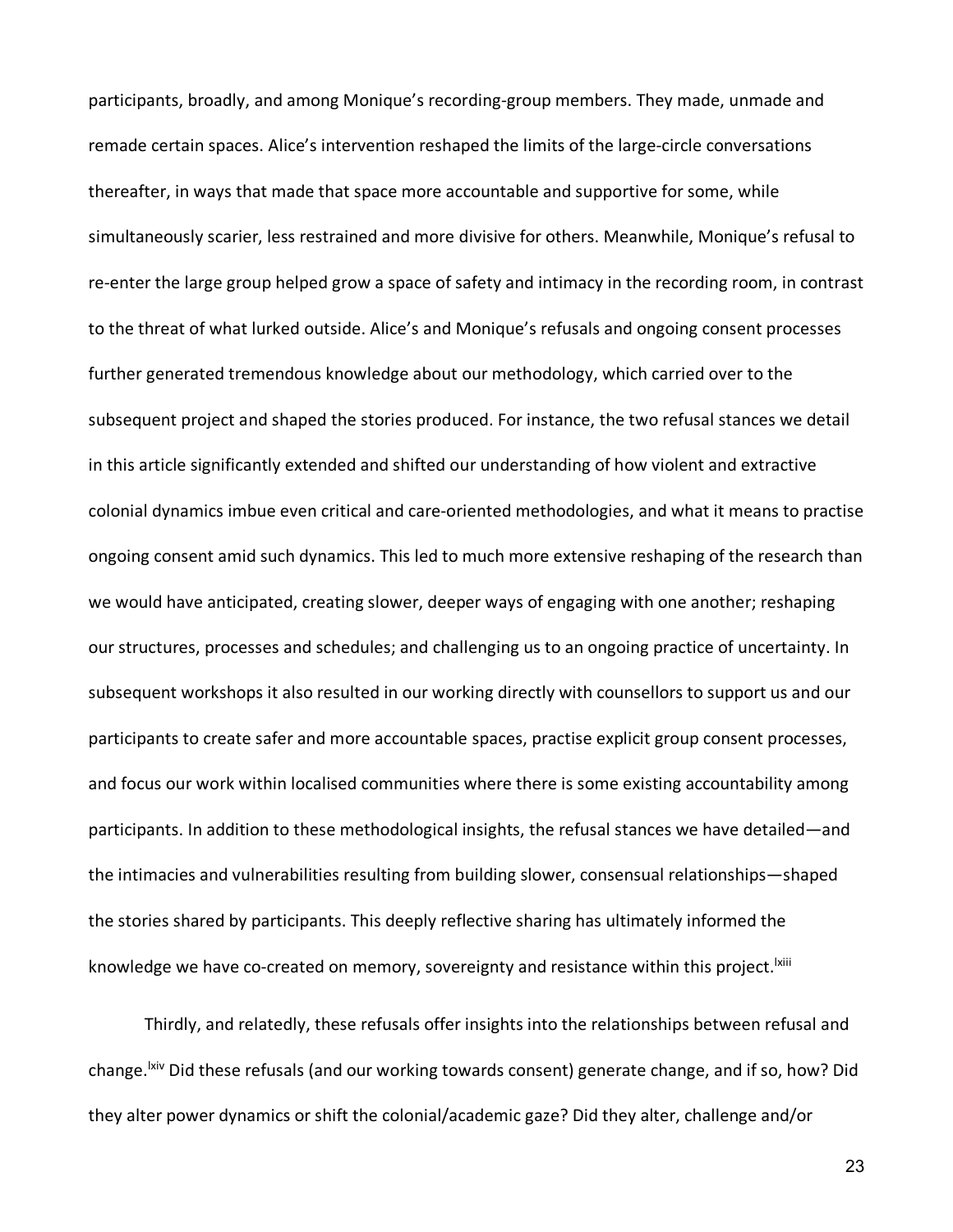participants, broadly, and among Monique's recording-group members. They made, unmade and remade certain spaces. Alice's intervention reshaped the limits of the large-circle conversations thereafter, in ways that made that space more accountable and supportive for some, while simultaneously scarier, less restrained and more divisive for others. Meanwhile, Monique's refusal to re-enter the large group helped grow a space of safety and intimacy in the recording room, in contrast to the threat of what lurked outside. Alice's and Monique's refusals and ongoing consent processes further generated tremendous knowledge about our methodology, which carried over to the subsequent project and shaped the stories produced. For instance, the two refusal stances we detail in this article significantly extended and shifted our understanding of how violent and extractive colonial dynamics imbue even critical and care-oriented methodologies, and what it means to practise ongoing consent amid such dynamics. This led to much more extensive reshaping of the research than we would have anticipated, creating slower, deeper ways of engaging with one another; reshaping our structures, processes and schedules; and challenging us to an ongoing practice of uncertainty. In subsequent workshops it also resulted in our working directly with counsellors to support us and our participants to create safer and more accountable spaces, practise explicit group consent processes, and focus our work within localised communities where there is some existing accountability among participants. In addition to these methodological insights, the refusal stances we have detailed—and the intimacies and vulnerabilities resulting from building slower, consensual relationships—shaped the stories shared by participants. This deeply reflective sharing has ultimately informed the knowledge we have co-created on memory, sovereignty and resistance within this project.<sup>Ixiii</sup>

Thirdly, and relatedly, these refusals offer insights into the relationships between refusal and change.<sup>Ixiv</sup> Did these refusals (and our working towards consent) generate change, and if so, how? Did they alter power dynamics or shift the colonial/academic gaze? Did they alter, challenge and/or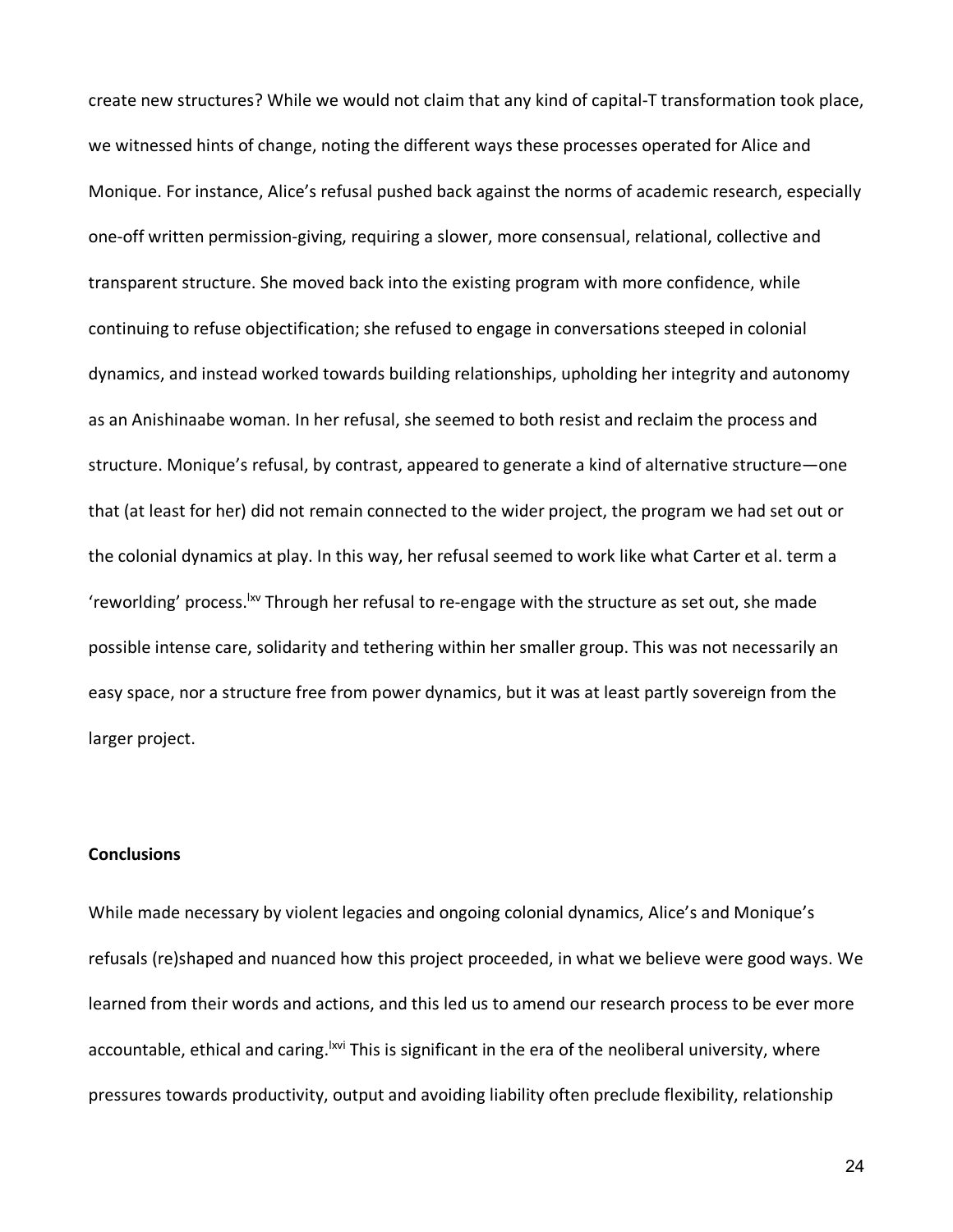create new structures? While we would not claim that any kind of capital-T transformation took place, we witnessed hints of change, noting the different ways these processes operated for Alice and Monique. For instance, Alice's refusal pushed back against the norms of academic research, especially one-off written permission-giving, requiring a slower, more consensual, relational, collective and transparent structure. She moved back into the existing program with more confidence, while continuing to refuse objectification; she refused to engage in conversations steeped in colonial dynamics, and instead worked towards building relationships, upholding her integrity and autonomy as an Anishinaabe woman. In her refusal, she seemed to both resist and reclaim the process and structure. Monique's refusal, by contrast, appeared to generate a kind of alternative structure—one that (at least for her) did not remain connected to the wider project, the program we had set out or the colonial dynamics at play. In this way, her refusal seemed to work like what Carter et al. term a 'reworlding' process. W Through her refusal to re-engage with the structure as set out, she made possible intense care, solidarity and tethering within her smaller group. This was not necessarily an easy space, nor a structure free from power dynamics, but it was at least partly sovereign from the larger project.

### **Conclusions**

While made necessary by violent legacies and ongoing colonial dynamics, Alice's and Monique's refusals (re)shaped and nuanced how this project proceeded, in what we believe were good ways. We learned from their words and actions, and this led us to amend our research process to be ever more accountable, ethical and caring.<sup>Ixvi</sup> This is significant in the era of the neoliberal university, where pressures towards productivity, output and avoiding liability often preclude flexibility, relationship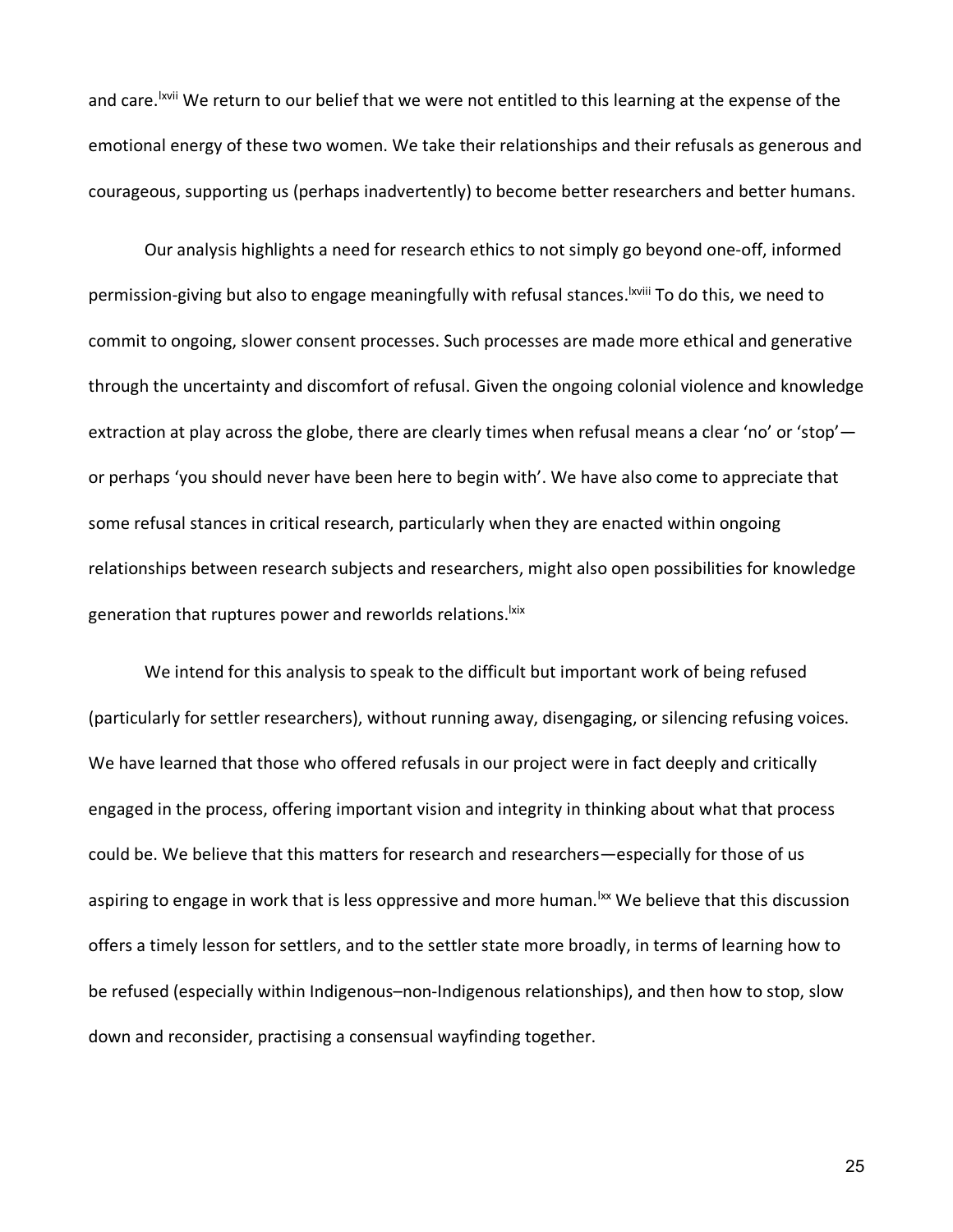and care. <sup>Ixvii</sup> We return to our belief that we were not entitled to this learning at the expense of the emotional energy of these two women. We take their relationships and their refusals as generous and courageous, supporting us (perhaps inadvertently) to become better researchers and better humans.

Our analysis highlights a need for research ethics to not simply go beyond one-off, informed permission-giving but also to engage meaningfully with refusal stances. <sup>Ixviii</sup> To do this, we need to commit to ongoing, slower consent processes. Such processes are made more ethical and generative through the uncertainty and discomfort of refusal. Given the ongoing colonial violence and knowledge extraction at play across the globe, there are clearly times when refusal means a clear 'no' or 'stop'or perhaps 'you should never have been here to begin with'. We have also come to appreciate that some refusal stances in critical research, particularly when they are enacted within ongoing relationships between research subjects and researchers, might also open possibilities for knowledge generation that ruptures power and reworlds relations.<sup>Ixix</sup>

We intend for this analysis to speak to the difficult but important work of being refused (particularly for settler researchers), without running away, disengaging, or silencing refusing voices. We have learned that those who offered refusals in our project were in fact deeply and critically engaged in the process, offering important vision and integrity in thinking about what that process could be. We believe that this matters for research and researchers—especially for those of us aspiring to engage in work that is less oppressive and more human.<sup>Ixx</sup> We believe that this discussion offers a timely lesson for settlers, and to the settler state more broadly, in terms of learning how to be refused (especially within Indigenous–non-Indigenous relationships), and then how to stop, slow down and reconsider, practising a consensual wayfinding together.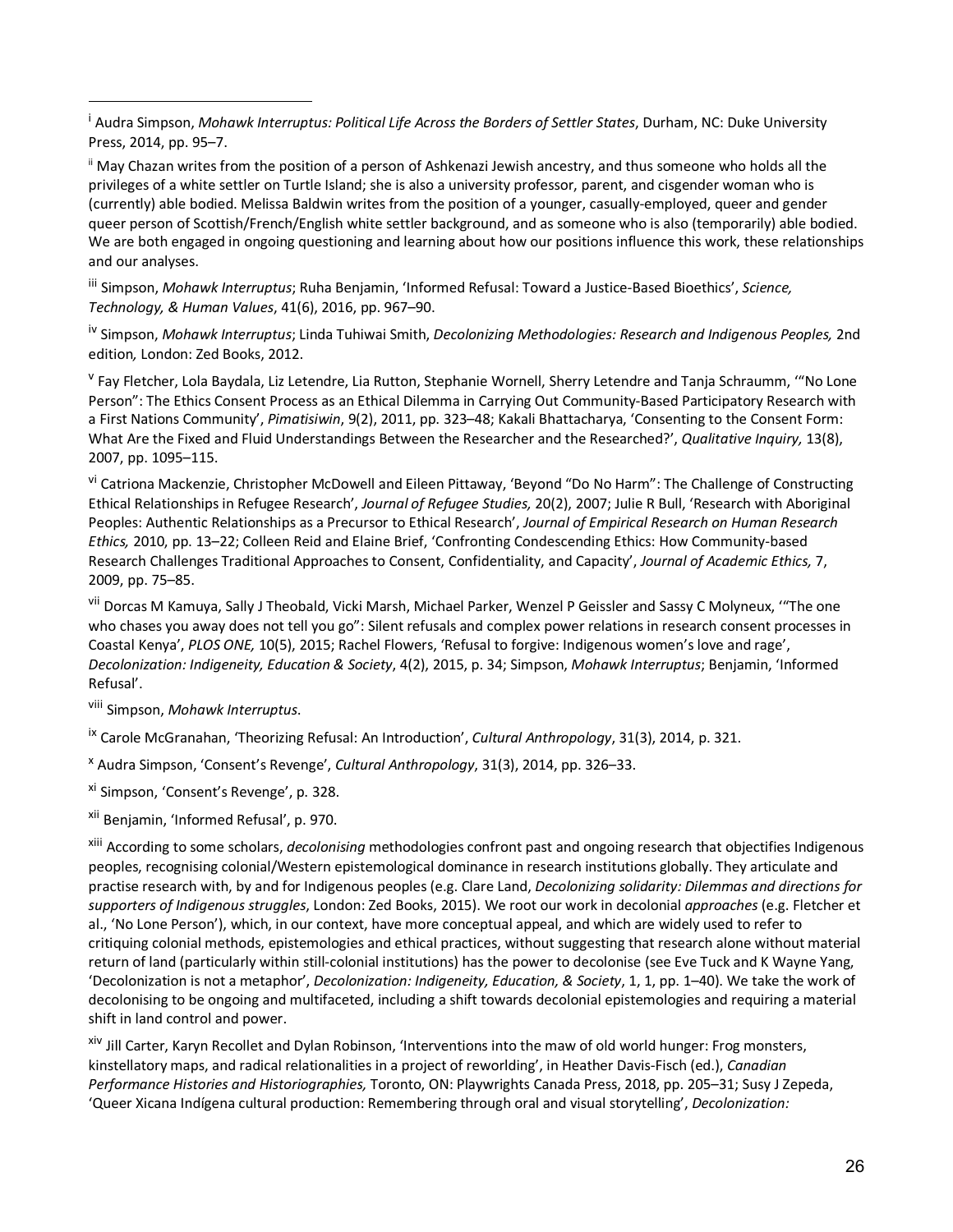<sup>i</sup> Audra Simpson, *Mohawk Interruptus: Political Life Across the Borders of Settler States*, Durham, NC: Duke University Press, 2014, pp. 95–7.

ii May Chazan writes from the position of a person of Ashkenazi Jewish ancestry, and thus someone who holds all the privileges of a white settler on Turtle Island; she is also a university professor, parent, and cisgender woman who is (currently) able bodied. Melissa Baldwin writes from the position of a younger, casually-employed, queer and gender queer person of Scottish/French/English white settler background, and as someone who is also (temporarily) able bodied. We are both engaged in ongoing questioning and learning about how our positions influence this work, these relationships and our analyses.

iii Simpson, *Mohawk Interruptus*; Ruha Benjamin, 'Informed Refusal: Toward a Justice-Based Bioethics', *Science, Technology, & Human Values*, 41(6), 2016, pp. 967–90.

iv Simpson, *Mohawk Interruptus*; Linda Tuhiwai Smith, *Decolonizing Methodologies: Research and Indigenous Peoples,* 2nd edition*,* London: Zed Books, 2012.

<sup>v</sup> Fay Fletcher, Lola Baydala, Liz Letendre, Lia Rutton, Stephanie Wornell, Sherry Letendre and Tanja Schraumm, "No Lone Person": The Ethics Consent Process as an Ethical Dilemma in Carrying Out Community-Based Participatory Research with a First Nations Community', *Pimatisiwin*, 9(2), 2011, pp. 323–48; Kakali Bhattacharya, 'Consenting to the Consent Form: What Are the Fixed and Fluid Understandings Between the Researcher and the Researched?', *Qualitative Inquiry,* 13(8), 2007, pp. 1095–115.

vi Catriona Mackenzie, Christopher McDowell and Eileen Pittaway, 'Beyond "Do No Harm": The Challenge of Constructing Ethical Relationships in Refugee Research', *Journal of Refugee Studies,* 20(2), 2007; Julie R Bull, 'Research with Aboriginal Peoples: Authentic Relationships as a Precursor to Ethical Research', *Journal of Empirical Research on Human Research Ethics,* 2010, pp. 13–22; Colleen Reid and Elaine Brief, 'Confronting Condescending Ethics: How Community-based Research Challenges Traditional Approaches to Consent, Confidentiality, and Capacity', *Journal of Academic Ethics,* 7, 2009, pp. 75–85.

vii Dorcas M Kamuya, Sally J Theobald, Vicki Marsh, Michael Parker, Wenzel P Geissler and Sassy C Molyneux, "The one who chases you away does not tell you go": Silent refusals and complex power relations in research consent processes in Coastal Kenya', *PLOS ONE,* 10(5), 2015; Rachel Flowers, 'Refusal to forgive: Indigenous women's love and rage', *Decolonization: Indigeneity, Education & Society*, 4(2), 2015, p. 34; Simpson, *Mohawk Interruptus*; Benjamin, 'Informed Refusal'.

viii Simpson, *Mohawk Interruptus*.

 $\overline{a}$ 

ix Carole McGranahan, 'Theorizing Refusal: An Introduction', *Cultural Anthropology*, 31(3), 2014, p. 321.

<sup>x</sup> Audra Simpson, 'Consent's Revenge', *Cultural Anthropology*, 31(3), 2014, pp. 326–33.

xi Simpson, 'Consent's Revenge', p. 328.

xii Benjamin, 'Informed Refusal', p. 970.

xiii According to some scholars, *decolonising* methodologies confront past and ongoing research that objectifies Indigenous peoples, recognising colonial/Western epistemological dominance in research institutions globally. They articulate and practise research with, by and for Indigenous peoples (e.g. Clare Land, *Decolonizing solidarity: Dilemmas and directions for supporters of Indigenous struggles*, London: Zed Books, 2015). We root our work in decolonial *approaches* (e.g. Fletcher et al., 'No Lone Person'), which, in our context, have more conceptual appeal, and which are widely used to refer to critiquing colonial methods, epistemologies and ethical practices, without suggesting that research alone without material return of land (particularly within still-colonial institutions) has the power to decolonise (see Eve Tuck and K Wayne Yang, 'Decolonization is not a metaphor', *Decolonization: Indigeneity, Education, & Society*, 1, 1, pp. 1–40). We take the work of decolonising to be ongoing and multifaceted, including a shift towards decolonial epistemologies and requiring a material shift in land control and power.

xiv Jill Carter, Karyn Recollet and Dylan Robinson, 'Interventions into the maw of old world hunger: Frog monsters, kinstellatory maps, and radical relationalities in a project of reworlding', in Heather Davis-Fisch (ed.), *Canadian Performance Histories and Historiographies,* Toronto, ON: Playwrights Canada Press, 2018, pp. 205–31; Susy J Zepeda, 'Queer Xicana Indígena cultural production: Remembering through oral and visual storytelling', *Decolonization:*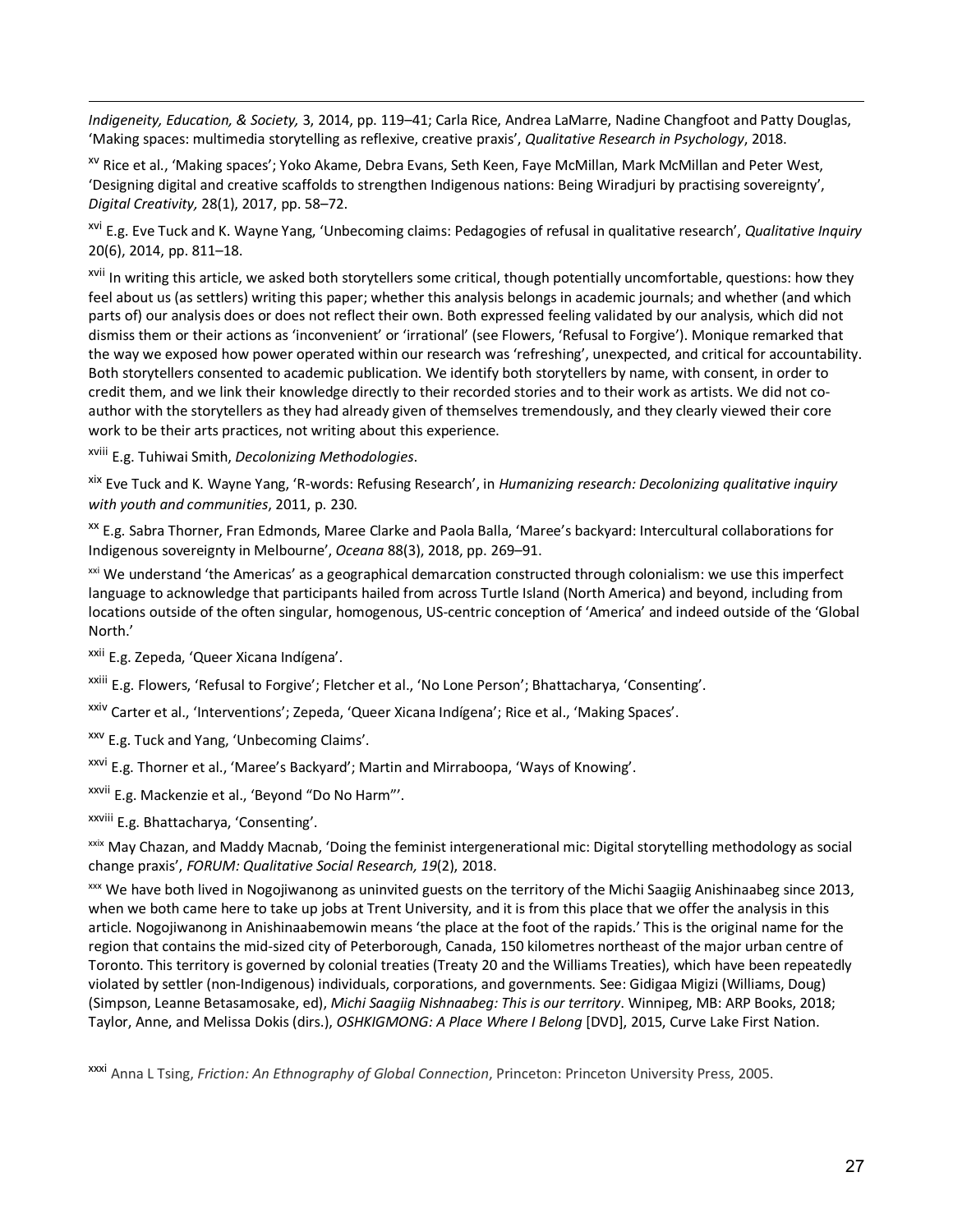*Indigeneity, Education, & Society,* 3, 2014, pp. 119–41; Carla Rice, Andrea LaMarre, Nadine Changfoot and Patty Douglas, 'Making spaces: multimedia storytelling as reflexive, creative praxis', *Qualitative Research in Psychology*, 2018.

xv Rice et al., 'Making spaces'; Yoko Akame, Debra Evans, Seth Keen, Faye McMillan, Mark McMillan and Peter West, 'Designing digital and creative scaffolds to strengthen Indigenous nations: Being Wiradjuri by practising sovereignty', *Digital Creativity,* 28(1), 2017, pp. 58–72.

xvi E.g. Eve Tuck and K. Wayne Yang, 'Unbecoming claims: Pedagogies of refusal in qualitative research', *Qualitative Inquiry* 20(6), 2014, pp. 811–18.

xvii In writing this article, we asked both storytellers some critical, though potentially uncomfortable, questions: how they feel about us (as settlers) writing this paper; whether this analysis belongs in academic journals; and whether (and which parts of) our analysis does or does not reflect their own. Both expressed feeling validated by our analysis, which did not dismiss them or their actions as 'inconvenient' or 'irrational' (see Flowers, 'Refusal to Forgive'). Monique remarked that the way we exposed how power operated within our research was 'refreshing', unexpected, and critical for accountability. Both storytellers consented to academic publication. We identify both storytellers by name, with consent, in order to credit them, and we link their knowledge directly to their recorded stories and to their work as artists. We did not coauthor with the storytellers as they had already given of themselves tremendously, and they clearly viewed their core work to be their arts practices, not writing about this experience.

xviii E.g. Tuhiwai Smith, *Decolonizing Methodologies*.

<u>.</u>

xix Eve Tuck and K. Wayne Yang, 'R-words: Refusing Research', in *Humanizing research: Decolonizing qualitative inquiry with youth and communities*, 2011, p. 230.

xx E.g. Sabra Thorner, Fran Edmonds, Maree Clarke and Paola Balla, 'Maree's backyard: Intercultural collaborations for Indigenous sovereignty in Melbourne', *Oceana* 88(3), 2018, pp. 269–91.

<sup>xxi</sup> We understand 'the Americas' as a geographical demarcation constructed through colonialism: we use this imperfect language to acknowledge that participants hailed from across Turtle Island (North America) and beyond, including from locations outside of the often singular, homogenous, US-centric conception of 'America' and indeed outside of the 'Global North.'

<sup>xxii</sup> E.g. Zepeda, 'Queer Xicana Indígena'.

xxiii E.g. Flowers, 'Refusal to Forgive'; Fletcher et al., 'No Lone Person'; Bhattacharya, 'Consenting'.

xxiv Carter et al., 'Interventions'; Zepeda, 'Queer Xicana Indígena'; Rice et al., 'Making Spaces'.

xxv E.g. Tuck and Yang, 'Unbecoming Claims'.

xxvi E.g. Thorner et al., 'Maree's Backyard'; Martin and Mirraboopa, 'Ways of Knowing'.

xxvii E.g. Mackenzie et al., 'Beyond "Do No Harm"'.

xxviii E.g. Bhattacharya, 'Consenting'.

xxix May Chazan, and Maddy Macnab, 'Doing the feminist intergenerational mic: Digital storytelling methodology as social change praxis', *FORUM: Qualitative Social Research, 19*(2), 2018.

xxx We have both lived in Nogojiwanong as uninvited guests on the territory of the Michi Saagiig Anishinaabeg since 2013, when we both came here to take up jobs at Trent University, and it is from this place that we offer the analysis in this article. Nogojiwanong in Anishinaabemowin means 'the place at the foot of the rapids.' This is the original name for the region that contains the mid-sized city of Peterborough, Canada, 150 kilometres northeast of the major urban centre of Toronto. This territory is governed by colonial treaties (Treaty 20 and the Williams Treaties), which have been repeatedly violated by settler (non-Indigenous) individuals, corporations, and governments. See: Gidigaa Migizi (Williams, Doug) (Simpson, Leanne Betasamosake, ed), *Michi Saagiig Nishnaabeg: This is our territory*. Winnipeg, MB: ARP Books, 2018; Taylor, Anne, and Melissa Dokis (dirs.), *OSHKIGMONG: A Place Where I Belong* [DVD], 2015, Curve Lake First Nation.

xxxi Anna L Tsing, *Friction: An Ethnography of Global Connection*, Princeton: Princeton University Press, 2005.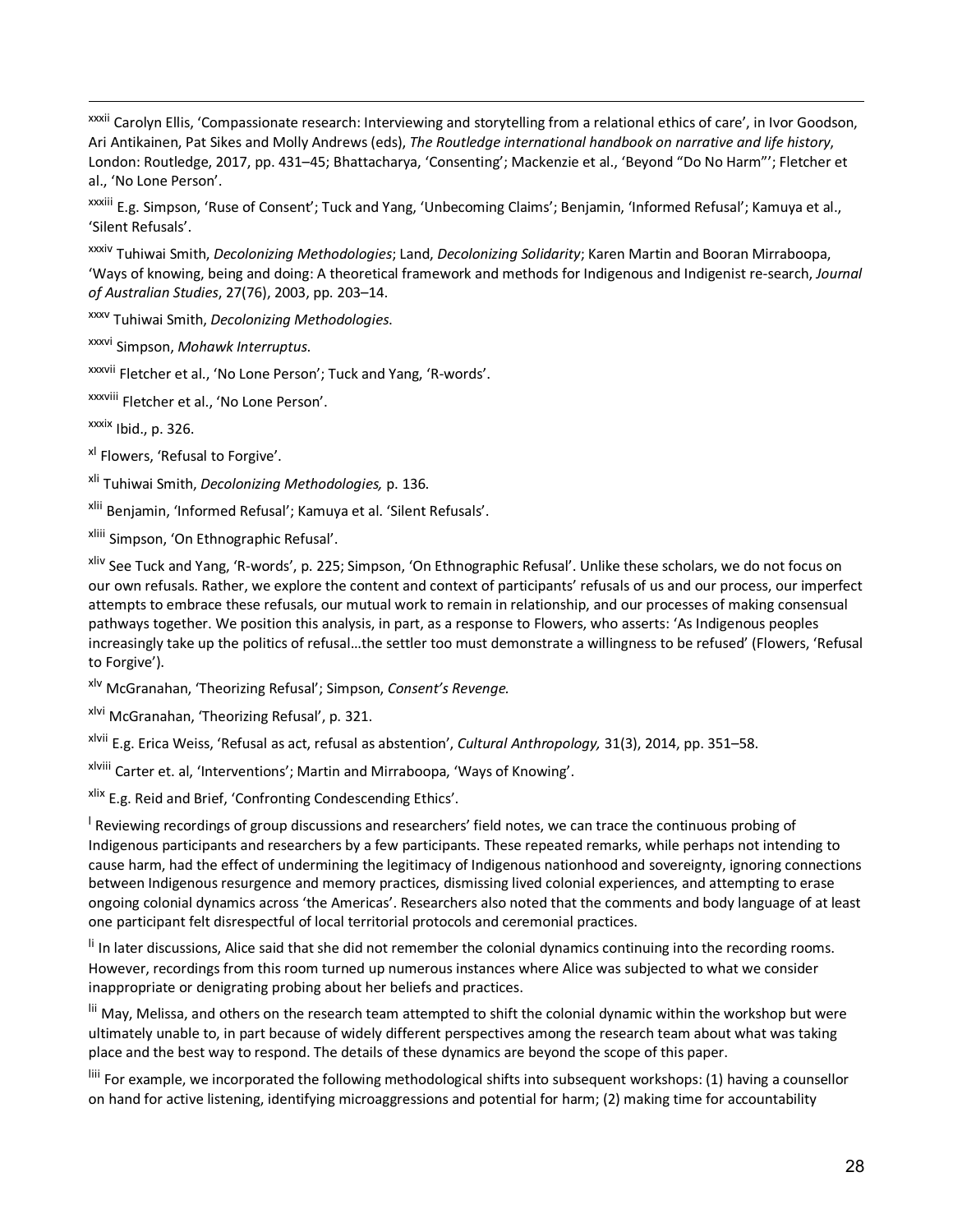xxxii Carolyn Ellis, 'Compassionate research: Interviewing and storytelling from a relational ethics of care', in Ivor Goodson, Ari Antikainen, Pat Sikes and Molly Andrews (eds), *The Routledge international handbook on narrative and life history*, London: Routledge, 2017, pp. 431–45; Bhattacharya, 'Consenting'; Mackenzie et al., 'Beyond "Do No Harm"'; Fletcher et al., 'No Lone Person'.

xxxiii E.g. Simpson, 'Ruse of Consent'; Tuck and Yang, 'Unbecoming Claims'; Benjamin, 'Informed Refusal'; Kamuya et al., 'Silent Refusals'.

xxxiv Tuhiwai Smith, *Decolonizing Methodologies*; Land, *Decolonizing Solidarity*; Karen Martin and Booran Mirraboopa, 'Ways of knowing, being and doing: A theoretical framework and methods for Indigenous and Indigenist re-search, *Journal of Australian Studies*, 27(76), 2003, pp. 203–14.

xxxv Tuhiwai Smith, *Decolonizing Methodologies*.

xxxvi Simpson, *Mohawk Interruptus*.

xxxvii Fletcher et al., 'No Lone Person'; Tuck and Yang, 'R-words'.

xxxviii Fletcher et al., 'No Lone Person'.

 $x$ <sup>xxxix</sup> Ibid., p. 326.

<u>.</u>

<sup>xl</sup> Flowers, 'Refusal to Forgive'.

xli Tuhiwai Smith, *Decolonizing Methodologies,* p. 136.

xlii Benjamin, 'Informed Refusal'; Kamuya et al. 'Silent Refusals'.

xliii Simpson, 'On Ethnographic Refusal'.

xliv See Tuck and Yang, 'R-words', p. 225; Simpson, 'On Ethnographic Refusal'. Unlike these scholars, we do not focus on our own refusals. Rather, we explore the content and context of participants' refusals of us and our process, our imperfect attempts to embrace these refusals, our mutual work to remain in relationship, and our processes of making consensual pathways together. We position this analysis, in part, as a response to Flowers, who asserts: 'As Indigenous peoples increasingly take up the politics of refusal…the settler too must demonstrate a willingness to be refused' (Flowers, 'Refusal to Forgive').

xlv McGranahan, 'Theorizing Refusal'; Simpson, *Consent's Revenge.*

xlvi McGranahan, 'Theorizing Refusal', p. 321.

xlvii E.g. Erica Weiss, 'Refusal as act, refusal as abstention', *Cultural Anthropology,* 31(3), 2014, pp. 351–58.

xlviii Carter et. al, 'Interventions'; Martin and Mirraboopa, 'Ways of Knowing'.

xlix E.g. Reid and Brief, 'Confronting Condescending Ethics'.

 $^{\text{I}}$  Reviewing recordings of group discussions and researchers' field notes, we can trace the continuous probing of Indigenous participants and researchers by a few participants. These repeated remarks, while perhaps not intending to cause harm, had the effect of undermining the legitimacy of Indigenous nationhood and sovereignty, ignoring connections between Indigenous resurgence and memory practices, dismissing lived colonial experiences, and attempting to erase ongoing colonial dynamics across 'the Americas'. Researchers also noted that the comments and body language of at least one participant felt disrespectful of local territorial protocols and ceremonial practices.

li In later discussions, Alice said that she did not remember the colonial dynamics continuing into the recording rooms. However, recordings from this room turned up numerous instances where Alice was subjected to what we consider inappropriate or denigrating probing about her beliefs and practices.

lii May, Melissa, and others on the research team attempted to shift the colonial dynamic within the workshop but were ultimately unable to, in part because of widely different perspectives among the research team about what was taking place and the best way to respond. The details of these dynamics are beyond the scope of this paper.

liii For example, we incorporated the following methodological shifts into subsequent workshops: (1) having a counsellor on hand for active listening, identifying microaggressions and potential for harm; (2) making time for accountability